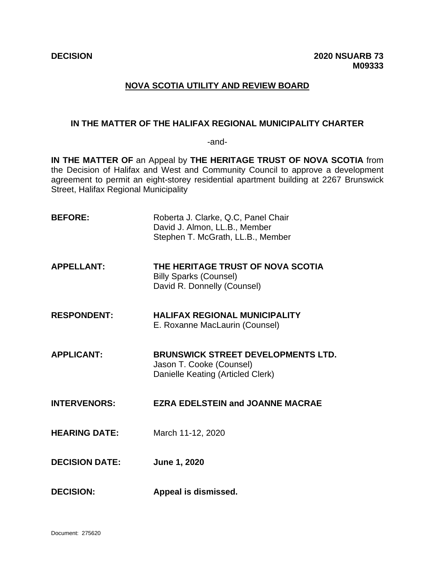# **NOVA SCOTIA UTILITY AND REVIEW BOARD**

# **IN THE MATTER OF THE HALIFAX REGIONAL MUNICIPALITY CHARTER**

-and-

**IN THE MATTER OF** an Appeal by **THE HERITAGE TRUST OF NOVA SCOTIA** from the Decision of Halifax and West and Community Council to approve a development agreement to permit an eight-storey residential apartment building at 2267 Brunswick Street, Halifax Regional Municipality

**BEFORE:** Roberta J. Clarke, Q.C, Panel Chair David J. Almon, LL.B., Member Stephen T. McGrath, LL.B., Member **APPELLANT: THE HERITAGE TRUST OF NOVA SCOTIA** Billy Sparks (Counsel) David R. Donnelly (Counsel) **RESPONDENT: HALIFAX REGIONAL MUNICIPALITY** E. Roxanne MacLaurin (Counsel) **APPLICANT: BRUNSWICK STREET DEVELOPMENTS LTD.** Jason T. Cooke (Counsel) Danielle Keating (Articled Clerk) **INTERVENORS: EZRA EDELSTEIN and JOANNE MACRAE HEARING DATE:** March 11-12, 2020 **DECISION DATE: June 1, 2020 DECISION: Appeal is dismissed.**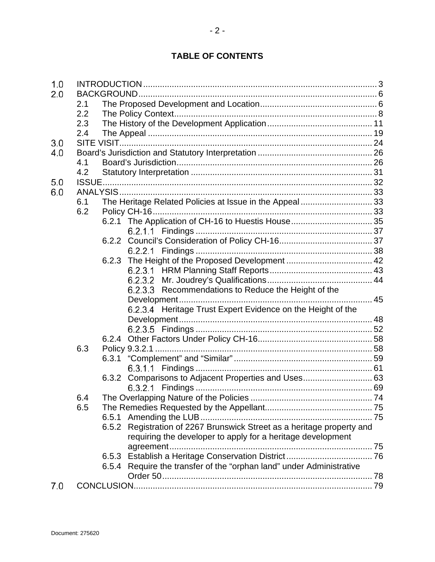# **TABLE OF CONTENTS**

| 1.0 |     |       |                                                                        |  |
|-----|-----|-------|------------------------------------------------------------------------|--|
| 2.0 |     |       |                                                                        |  |
|     | 2.1 |       |                                                                        |  |
|     | 2.2 |       |                                                                        |  |
|     | 2.3 |       |                                                                        |  |
|     | 2.4 |       |                                                                        |  |
| 3.0 |     |       |                                                                        |  |
| 4.0 |     |       |                                                                        |  |
|     | 4.1 |       |                                                                        |  |
|     | 4.2 |       |                                                                        |  |
| 5.0 |     |       |                                                                        |  |
| 6.0 |     |       |                                                                        |  |
|     | 6.1 |       | The Heritage Related Policies at Issue in the Appeal 33                |  |
|     | 6.2 |       |                                                                        |  |
|     |     |       | 6.2.1 The Application of CH-16 to Huestis House 35                     |  |
|     |     |       |                                                                        |  |
|     |     |       |                                                                        |  |
|     |     |       |                                                                        |  |
|     |     |       | 6.2.3 The Height of the Proposed Development  42                       |  |
|     |     |       |                                                                        |  |
|     |     |       |                                                                        |  |
|     |     |       | 6.2.3.3 Recommendations to Reduce the Height of the                    |  |
|     |     |       |                                                                        |  |
|     |     |       | 6.2.3.4 Heritage Trust Expert Evidence on the Height of the            |  |
|     |     |       |                                                                        |  |
|     |     |       |                                                                        |  |
|     |     |       |                                                                        |  |
|     | 6.3 |       |                                                                        |  |
|     |     | 6.3.1 |                                                                        |  |
|     |     |       |                                                                        |  |
|     |     |       | 6.3.2 Comparisons to Adjacent Properties and Uses 63                   |  |
|     |     |       |                                                                        |  |
|     | 6.4 |       |                                                                        |  |
|     | 6.5 |       |                                                                        |  |
|     |     |       |                                                                        |  |
|     |     |       | 6.5.2 Registration of 2267 Brunswick Street as a heritage property and |  |
|     |     |       | requiring the developer to apply for a heritage development            |  |
|     |     |       | agreement                                                              |  |
|     |     | 6.5.3 |                                                                        |  |
|     |     | 6.5.4 | Require the transfer of the "orphan land" under Administrative         |  |
|     |     |       |                                                                        |  |
| 7.0 |     |       |                                                                        |  |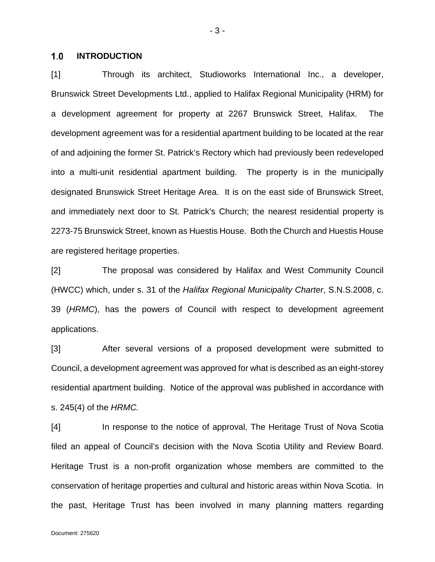#### <span id="page-2-0"></span> $1.0$ **INTRODUCTION**

[1] Through its architect, Studioworks International Inc., a developer, Brunswick Street Developments Ltd., applied to Halifax Regional Municipality (HRM) for a development agreement for property at 2267 Brunswick Street, Halifax. The development agreement was for a residential apartment building to be located at the rear of and adjoining the former St. Patrick's Rectory which had previously been redeveloped into a multi-unit residential apartment building. The property is in the municipally designated Brunswick Street Heritage Area. It is on the east side of Brunswick Street, and immediately next door to St. Patrick's Church; the nearest residential property is 2273-75 Brunswick Street, known as Huestis House. Both the Church and Huestis House are registered heritage properties.

[2] The proposal was considered by Halifax and West Community Council (HWCC) which, under s. 31 of the *Halifax Regional Municipality Charter*, S.N.S.2008, c. 39 (*HRMC*), has the powers of Council with respect to development agreement applications.

[3] After several versions of a proposed development were submitted to Council, a development agreement was approved for what is described as an eight-storey residential apartment building. Notice of the approval was published in accordance with s. 245(4) of the *HRMC.*

[4] In response to the notice of approval, The Heritage Trust of Nova Scotia filed an appeal of Council's decision with the Nova Scotia Utility and Review Board. Heritage Trust is a non-profit organization whose members are committed to the conservation of heritage properties and cultural and historic areas within Nova Scotia. In the past, Heritage Trust has been involved in many planning matters regarding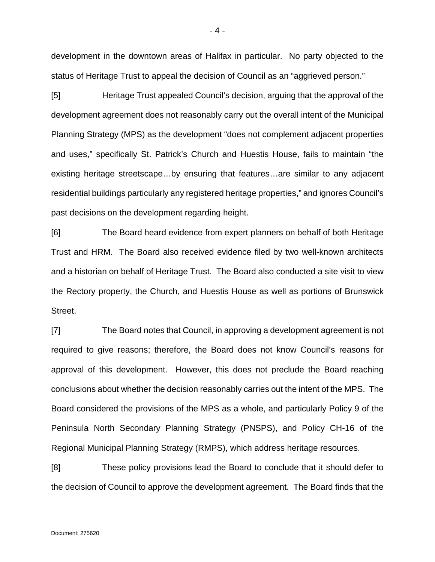development in the downtown areas of Halifax in particular. No party objected to the status of Heritage Trust to appeal the decision of Council as an "aggrieved person."

[5] Heritage Trust appealed Council's decision, arguing that the approval of the development agreement does not reasonably carry out the overall intent of the Municipal Planning Strategy (MPS) as the development "does not complement adjacent properties and uses," specifically St. Patrick's Church and Huestis House, fails to maintain "the existing heritage streetscape…by ensuring that features…are similar to any adjacent residential buildings particularly any registered heritage properties," and ignores Council's past decisions on the development regarding height.

[6] The Board heard evidence from expert planners on behalf of both Heritage Trust and HRM. The Board also received evidence filed by two well-known architects and a historian on behalf of Heritage Trust. The Board also conducted a site visit to view the Rectory property, the Church, and Huestis House as well as portions of Brunswick Street.

[7] The Board notes that Council, in approving a development agreement is not required to give reasons; therefore, the Board does not know Council's reasons for approval of this development. However, this does not preclude the Board reaching conclusions about whether the decision reasonably carries out the intent of the MPS. The Board considered the provisions of the MPS as a whole, and particularly Policy 9 of the Peninsula North Secondary Planning Strategy (PNSPS), and Policy CH-16 of the Regional Municipal Planning Strategy (RMPS), which address heritage resources.

[8] These policy provisions lead the Board to conclude that it should defer to the decision of Council to approve the development agreement. The Board finds that the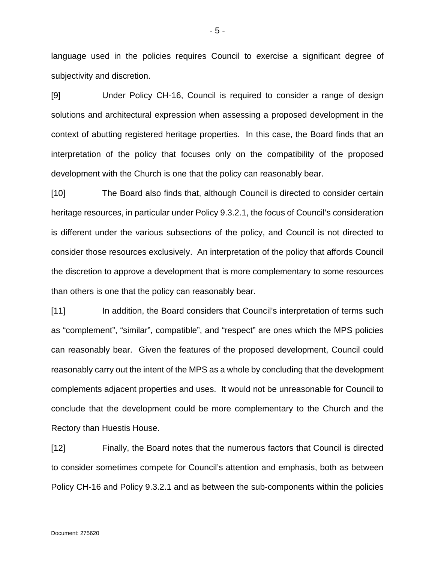language used in the policies requires Council to exercise a significant degree of subjectivity and discretion.

[9] Under Policy CH-16, Council is required to consider a range of design solutions and architectural expression when assessing a proposed development in the context of abutting registered heritage properties. In this case, the Board finds that an interpretation of the policy that focuses only on the compatibility of the proposed development with the Church is one that the policy can reasonably bear.

[10] The Board also finds that, although Council is directed to consider certain heritage resources, in particular under Policy 9.3.2.1, the focus of Council's consideration is different under the various subsections of the policy, and Council is not directed to consider those resources exclusively. An interpretation of the policy that affords Council the discretion to approve a development that is more complementary to some resources than others is one that the policy can reasonably bear.

[11] In addition, the Board considers that Council's interpretation of terms such as "complement", "similar", compatible", and "respect" are ones which the MPS policies can reasonably bear. Given the features of the proposed development, Council could reasonably carry out the intent of the MPS as a whole by concluding that the development complements adjacent properties and uses. It would not be unreasonable for Council to conclude that the development could be more complementary to the Church and the Rectory than Huestis House.

[12] Finally, the Board notes that the numerous factors that Council is directed to consider sometimes compete for Council's attention and emphasis, both as between Policy CH-16 and Policy 9.3.2.1 and as between the sub-components within the policies

- 5 -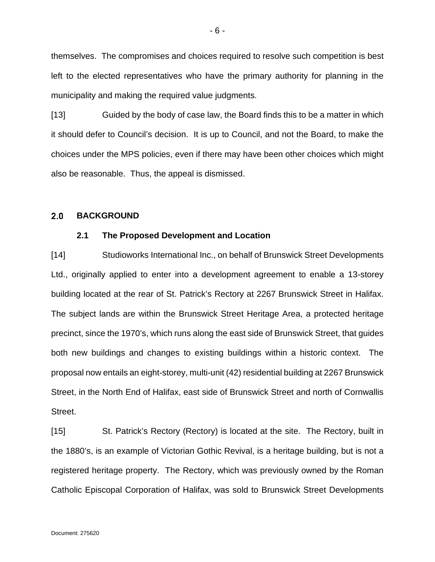themselves. The compromises and choices required to resolve such competition is best left to the elected representatives who have the primary authority for planning in the municipality and making the required value judgments.

[13] Guided by the body of case law, the Board finds this to be a matter in which it should defer to Council's decision. It is up to Council, and not the Board, to make the choices under the MPS policies, even if there may have been other choices which might also be reasonable. Thus, the appeal is dismissed.

#### <span id="page-5-1"></span><span id="page-5-0"></span> $2.0$ **BACKGROUND**

### **2.1 The Proposed Development and Location**

[14] Studioworks International Inc., on behalf of Brunswick Street Developments Ltd., originally applied to enter into a development agreement to enable a 13-storey building located at the rear of St. Patrick's Rectory at 2267 Brunswick Street in Halifax. The subject lands are within the Brunswick Street Heritage Area, a protected heritage precinct, since the 1970's, which runs along the east side of Brunswick Street, that guides both new buildings and changes to existing buildings within a historic context. The proposal now entails an eight-storey, multi-unit (42) residential building at 2267 Brunswick Street, in the North End of Halifax, east side of Brunswick Street and north of Cornwallis Street.

[15] St. Patrick's Rectory (Rectory) is located at the site. The Rectory, built in the 1880's, is an example of Victorian Gothic Revival, is a heritage building, but is not a registered heritage property. The Rectory, which was previously owned by the Roman Catholic Episcopal Corporation of Halifax, was sold to Brunswick Street Developments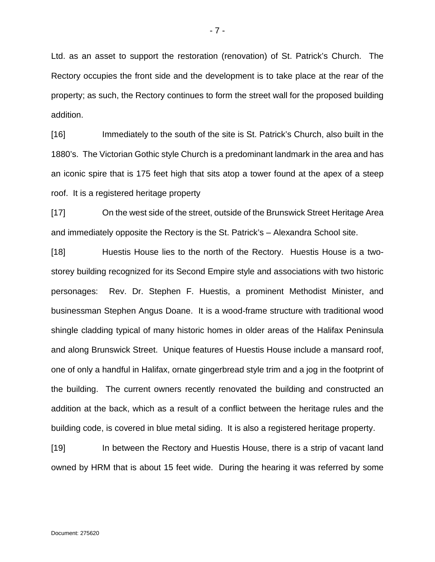Ltd. as an asset to support the restoration (renovation) of St. Patrick's Church. The Rectory occupies the front side and the development is to take place at the rear of the property; as such, the Rectory continues to form the street wall for the proposed building addition.

[16] Immediately to the south of the site is St. Patrick's Church, also built in the 1880's. The Victorian Gothic style Church is a predominant landmark in the area and has an iconic spire that is 175 feet high that sits atop a tower found at the apex of a steep roof. It is a registered heritage property

[17] On the west side of the street, outside of the Brunswick Street Heritage Area and immediately opposite the Rectory is the St. Patrick's – Alexandra School site.

[18] Huestis House lies to the north of the Rectory. Huestis House is a twostorey building recognized for its Second Empire style and associations with two historic personages: Rev. Dr. Stephen F. Huestis, a prominent Methodist Minister, and businessman Stephen Angus Doane. It is a wood-frame structure with traditional wood shingle cladding typical of many historic homes in older areas of the Halifax Peninsula and along Brunswick Street. Unique features of Huestis House include a mansard roof, one of only a handful in Halifax, ornate gingerbread style trim and a jog in the footprint of the building. The current owners recently renovated the building and constructed an addition at the back, which as a result of a conflict between the heritage rules and the building code, is covered in blue metal siding. It is also a registered heritage property.

[19] In between the Rectory and Huestis House, there is a strip of vacant land owned by HRM that is about 15 feet wide. During the hearing it was referred by some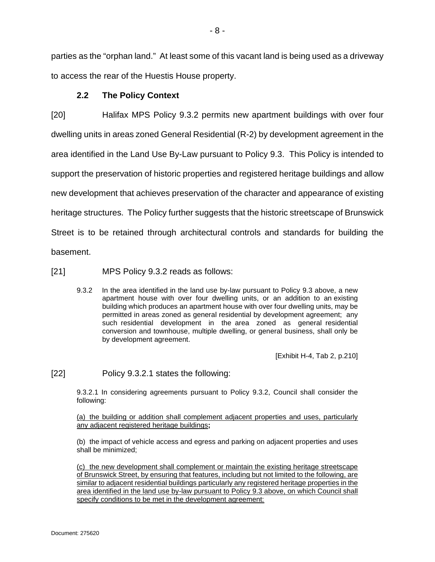parties as the "orphan land." At least some of this vacant land is being used as a driveway to access the rear of the Huestis House property.

# **2.2 The Policy Context**

<span id="page-7-0"></span>[20] Halifax MPS Policy 9.3.2 permits new apartment buildings with over four dwelling units in areas zoned General Residential (R-2) by development agreement in the area identified in the Land Use By-Law pursuant to Policy 9.3. This Policy is intended to support the preservation of historic properties and registered heritage buildings and allow new development that achieves preservation of the character and appearance of existing heritage structures. The Policy further suggests that the historic streetscape of Brunswick Street is to be retained through architectural controls and standards for building the basement.

[21] MPS Policy 9.3.2 reads as follows:

9.3.2 In the area identified in the land use by-law pursuant to Policy 9.3 above, a new apartment house with over four dwelling units, or an addition to an existing building which produces an apartment house with over four dwelling units, may be permitted in areas zoned as general residential by development agreement; any such residential development in the area zoned as general residential conversion and townhouse, multiple dwelling, or general business, shall only be by development agreement.

[Exhibit H-4, Tab 2, p.210]

[22] Policy 9.3.2.1 states the following:

9.3.2.1 In considering agreements pursuant to Policy 9.3.2, Council shall consider the following:

(a) the building or addition shall complement adjacent properties and uses, particularly any adjacent registered heritage buildings**;**

(b) the impact of vehicle access and egress and parking on adjacent properties and uses shall be minimized;

(c) the new development shall complement or maintain the existing heritage streetscape of Brunswick Street, by ensuring that features, including but not limited to the following, are similar to adjacent residential buildings particularly any registered heritage properties in the area identified in the land use by-law pursuant to Policy 9.3 above, on which Council shall specify conditions to be met in the development agreement: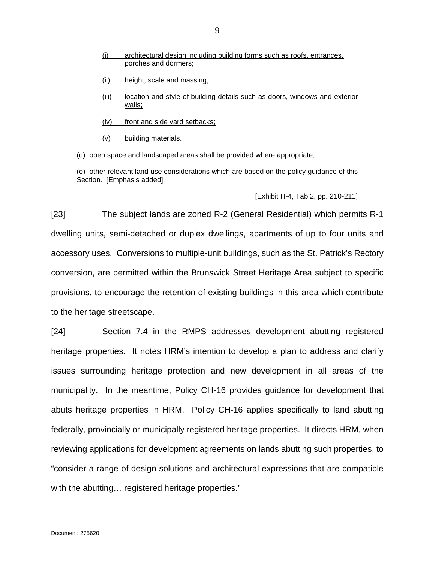- (i) architectural design including building forms such as roofs, entrances, porches and dormers;
- (ii) height, scale and massing;
- (iii) location and style of building details such as doors, windows and exterior walls;
- (iv) front and side yard setbacks;
- (v) building materials.
- (d) open space and landscaped areas shall be provided where appropriate;

(e) other relevant land use considerations which are based on the policy guidance of this Section. [Emphasis added]

### [Exhibit H-4, Tab 2, pp. 210-211]

[23] The subject lands are zoned R-2 (General Residential) which permits R-1 dwelling units, semi-detached or duplex dwellings, apartments of up to four units and accessory uses. Conversions to multiple-unit buildings, such as the St. Patrick's Rectory conversion, are permitted within the Brunswick Street Heritage Area subject to specific provisions, to encourage the retention of existing buildings in this area which contribute to the heritage streetscape.

[24] Section 7.4 in the RMPS addresses development abutting registered heritage properties. It notes HRM's intention to develop a plan to address and clarify issues surrounding heritage protection and new development in all areas of the municipality. In the meantime, Policy CH-16 provides guidance for development that abuts heritage properties in HRM. Policy CH-16 applies specifically to land abutting federally, provincially or municipally registered heritage properties. It directs HRM, when reviewing applications for development agreements on lands abutting such properties, to "consider a range of design solutions and architectural expressions that are compatible with the abutting... registered heritage properties."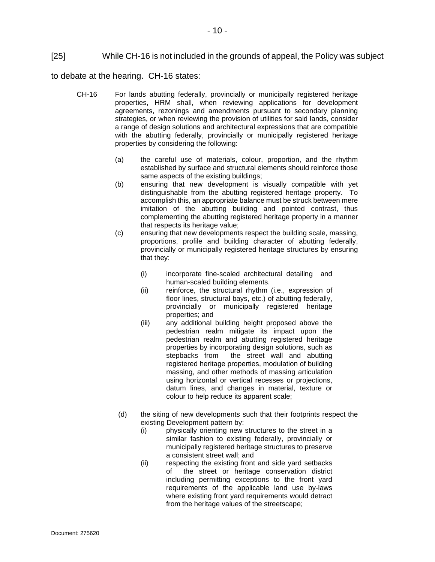# [25] While CH-16 is not included in the grounds of appeal, the Policy was subject

to debate at the hearing. CH-16 states:

- CH-16 For lands abutting federally, provincially or municipally registered heritage properties, HRM shall, when reviewing applications for development agreements, rezonings and amendments pursuant to secondary planning strategies, or when reviewing the provision of utilities for said lands, consider a range of design solutions and architectural expressions that are compatible with the abutting federally, provincially or municipally registered heritage properties by considering the following:
	- (a) the careful use of materials, colour, proportion, and the rhythm established by surface and structural elements should reinforce those same aspects of the existing buildings;
	- (b) ensuring that new development is visually compatible with yet distinguishable from the abutting registered heritage property. To accomplish this, an appropriate balance must be struck between mere imitation of the abutting building and pointed contrast, thus complementing the abutting registered heritage property in a manner that respects its heritage value;
	- (c) ensuring that new developments respect the building scale, massing, proportions, profile and building character of abutting federally, provincially or municipally registered heritage structures by ensuring that they:
		- (i) incorporate fine-scaled architectural detailing and human-scaled building elements.
		- (ii) reinforce, the structural rhythm (i.e., expression of floor lines, structural bays, etc.) of abutting federally, provincially or municipally registered heritage properties; and
		- (iii) any additional building height proposed above the pedestrian realm mitigate its impact upon the pedestrian realm and abutting registered heritage properties by incorporating design solutions, such as stepbacks from the street wall and abutting registered heritage properties, modulation of building massing, and other methods of massing articulation using horizontal or vertical recesses or projections, datum lines, and changes in material, texture or colour to help reduce its apparent scale;
	- (d) the siting of new developments such that their footprints respect the existing Development pattern by:
		- (i) physically orienting new structures to the street in a similar fashion to existing federally, provincially or municipally registered heritage structures to preserve a consistent street wall; and
		- (ii) respecting the existing front and side yard setbacks of the street or heritage conservation district including permitting exceptions to the front yard requirements of the applicable land use by-laws where existing front yard requirements would detract from the heritage values of the streetscape;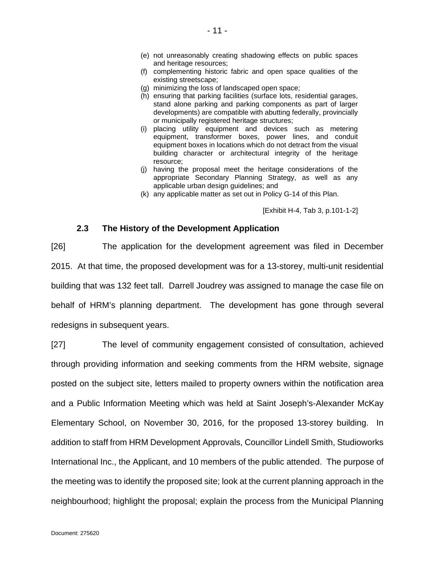- (e) not unreasonably creating shadowing effects on public spaces and heritage resources;
- (f) complementing historic fabric and open space qualities of the existing streetscape;
- (g) minimizing the loss of landscaped open space;
- (h) ensuring that parking facilities (surface lots, residential garages, stand alone parking and parking components as part of larger developments) are compatible with abutting federally, provincially or municipally registered heritage structures;
- (i) placing utility equipment and devices such as metering equipment, transformer boxes, power lines, and conduit equipment boxes in locations which do not detract from the visual building character or architectural integrity of the heritage resource;
- (j) having the proposal meet the heritage considerations of the appropriate Secondary Planning Strategy, as well as any applicable urban design guidelines; and
- (k) any applicable matter as set out in Policy G-14 of this Plan.

[Exhibit H-4, Tab 3, p.101-1-2]

### **2.3 The History of the Development Application**

<span id="page-10-0"></span>[26] The application for the development agreement was filed in December 2015. At that time, the proposed development was for a 13-storey, multi-unit residential building that was 132 feet tall. Darrell Joudrey was assigned to manage the case file on behalf of HRM's planning department. The development has gone through several redesigns in subsequent years.

[27] The level of community engagement consisted of consultation, achieved through providing information and seeking comments from the HRM website, signage posted on the subject site, letters mailed to property owners within the notification area and a Public Information Meeting which was held at Saint Joseph's-Alexander McKay Elementary School, on November 30, 2016, for the proposed 13-storey building. In addition to staff from HRM Development Approvals, Councillor Lindell Smith, Studioworks International Inc., the Applicant, and 10 members of the public attended. The purpose of the meeting was to identify the proposed site; look at the current planning approach in the neighbourhood; highlight the proposal; explain the process from the Municipal Planning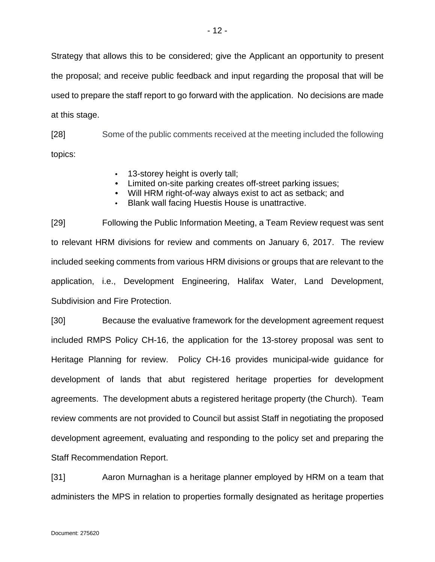Strategy that allows this to be considered; give the Applicant an opportunity to present the proposal; and receive public feedback and input regarding the proposal that will be used to prepare the staff report to go forward with the application. No decisions are made at this stage.

[28] Some of the public comments received at the meeting included the following topics:

- 13-storey height is overly tall;
- Limited on-site parking creates off-street parking issues;
- Will HRM right-of-way always exist to act as setback; and
- Blank wall facing Huestis House is unattractive.

[29] Following the Public Information Meeting, a Team Review request was sent to relevant HRM divisions for review and comments on January 6, 2017. The review included seeking comments from various HRM divisions or groups that are relevant to the application, i.e., Development Engineering, Halifax Water, Land Development, Subdivision and Fire Protection.

[30] Because the evaluative framework for the development agreement request included RMPS Policy CH-16, the application for the 13-storey proposal was sent to Heritage Planning for review. Policy CH-16 provides municipal-wide guidance for development of lands that abut registered heritage properties for development agreements. The development abuts a registered heritage property (the Church). Team review comments are not provided to Council but assist Staff in negotiating the proposed development agreement, evaluating and responding to the policy set and preparing the Staff Recommendation Report.

[31] Aaron Murnaghan is a heritage planner employed by HRM on a team that administers the MPS in relation to properties formally designated as heritage properties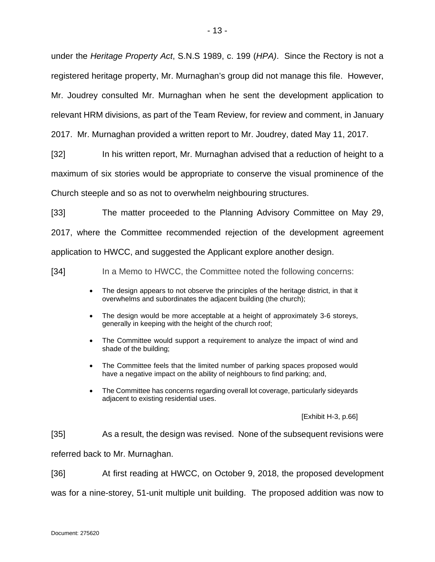under the *Heritage Property Act*, S.N.S 1989, c. 199 (*HPA)*. Since the Rectory is not a registered heritage property, Mr. Murnaghan's group did not manage this file. However, Mr. Joudrey consulted Mr. Murnaghan when he sent the development application to relevant HRM divisions, as part of the Team Review, for review and comment, in January

2017. Mr. Murnaghan provided a written report to Mr. Joudrey, dated May 11, 2017.

[32] In his written report, Mr. Murnaghan advised that a reduction of height to a maximum of six stories would be appropriate to conserve the visual prominence of the Church steeple and so as not to overwhelm neighbouring structures.

[33] The matter proceeded to the Planning Advisory Committee on May 29, 2017, where the Committee recommended rejection of the development agreement application to HWCC, and suggested the Applicant explore another design.

[34] In a Memo to HWCC, the Committee noted the following concerns:

- The design appears to not observe the principles of the heritage district, in that it overwhelms and subordinates the adjacent building (the church);
- The design would be more acceptable at a height of approximately 3-6 storeys, generally in keeping with the height of the church roof;
- The Committee would support a requirement to analyze the impact of wind and shade of the building;
- The Committee feels that the limited number of parking spaces proposed would have a negative impact on the ability of neighbours to find parking; and,
- The Committee has concerns regarding overall lot coverage, particularly sideyards adjacent to existing residential uses.

[Exhibit H-3, p.66]

[35] As a result, the design was revised. None of the subsequent revisions were

referred back to Mr. Murnaghan.

[36] At first reading at HWCC, on October 9, 2018, the proposed development

was for a nine-storey, 51-unit multiple unit building. The proposed addition was now to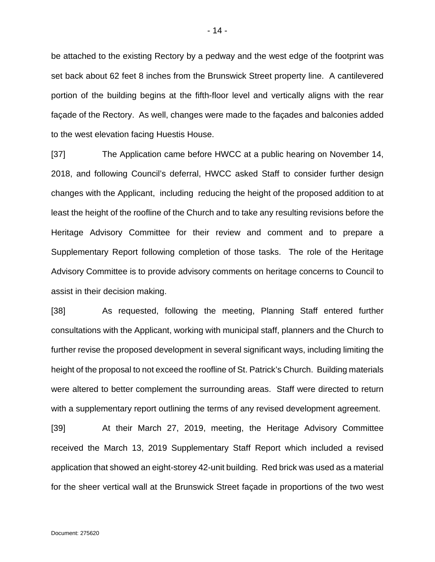be attached to the existing Rectory by a pedway and the west edge of the footprint was set back about 62 feet 8 inches from the Brunswick Street property line. A cantilevered portion of the building begins at the fifth-floor level and vertically aligns with the rear façade of the Rectory. As well, changes were made to the façades and balconies added to the west elevation facing Huestis House.

[37] The Application came before HWCC at a public hearing on November 14, 2018, and following Council's deferral, HWCC asked Staff to consider further design changes with the Applicant, including reducing the height of the proposed addition to at least the height of the roofline of the Church and to take any resulting revisions before the Heritage Advisory Committee for their review and comment and to prepare a Supplementary Report following completion of those tasks. The role of the Heritage Advisory Committee is to provide advisory comments on heritage concerns to Council to assist in their decision making.

[38] As requested, following the meeting, Planning Staff entered further consultations with the Applicant, working with municipal staff, planners and the Church to further revise the proposed development in several significant ways, including limiting the height of the proposal to not exceed the roofline of St. Patrick's Church. Building materials were altered to better complement the surrounding areas. Staff were directed to return with a supplementary report outlining the terms of any revised development agreement.

[39] At their March 27, 2019, meeting, the Heritage Advisory Committee received the March 13, 2019 Supplementary Staff Report which included a revised application that showed an eight-storey 42-unit building. Red brick was used as a material for the sheer vertical wall at the Brunswick Street façade in proportions of the two west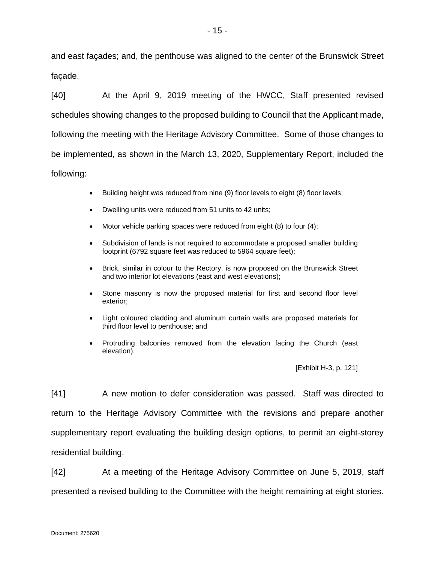and east façades; and, the penthouse was aligned to the center of the Brunswick Street façade.

[40] At the April 9, 2019 meeting of the HWCC, Staff presented revised schedules showing changes to the proposed building to Council that the Applicant made, following the meeting with the Heritage Advisory Committee. Some of those changes to be implemented, as shown in the March 13, 2020, Supplementary Report, included the following:

- Building height was reduced from nine (9) floor levels to eight (8) floor levels;
- Dwelling units were reduced from 51 units to 42 units;
- Motor vehicle parking spaces were reduced from eight (8) to four (4);
- Subdivision of lands is not required to accommodate a proposed smaller building footprint (6792 square feet was reduced to 5964 square feet);
- Brick, similar in colour to the Rectory, is now proposed on the Brunswick Street and two interior lot elevations (east and west elevations);
- Stone masonry is now the proposed material for first and second floor level exterior;
- Light coloured cladding and aluminum curtain walls are proposed materials for third floor level to penthouse; and
- Protruding balconies removed from the elevation facing the Church (east elevation).

[Exhibit H-3, p. 121]

[41] A new motion to defer consideration was passed. Staff was directed to return to the Heritage Advisory Committee with the revisions and prepare another supplementary report evaluating the building design options, to permit an eight-storey residential building.

[42] At a meeting of the Heritage Advisory Committee on June 5, 2019, staff presented a revised building to the Committee with the height remaining at eight stories.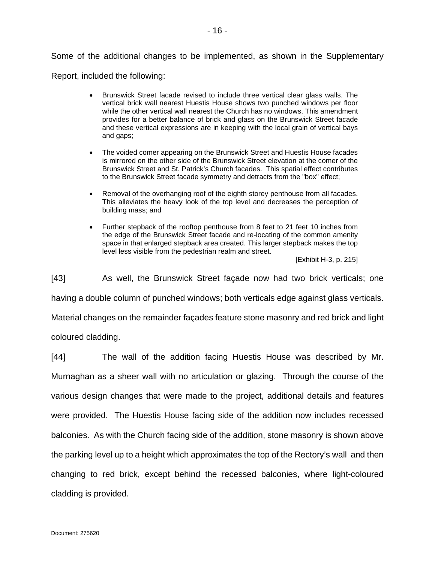Some of the additional changes to be implemented, as shown in the Supplementary

Report, included the following:

- Brunswick Street facade revised to include three vertical clear glass walls. The vertical brick wall nearest Huestis House shows two punched windows per floor while the other vertical wall nearest the Church has no windows. This amendment provides for a better balance of brick and glass on the Brunswick Street facade and these vertical expressions are in keeping with the local grain of vertical bays and gaps;
- The voided comer appearing on the Brunswick Street and Huestis House facades is mirrored on the other side of the Brunswick Street elevation at the comer of the Brunswick Street and St. Patrick's Church facades. This spatial effect contributes to the Brunswick Street facade symmetry and detracts from the "box" effect;
- Removal of the overhanging roof of the eighth storey penthouse from all facades. This alleviates the heavy look of the top level and decreases the perception of building mass; and
- Further stepback of the rooftop penthouse from 8 feet to 21 feet 10 inches from the edge of the Brunswick Street facade and re-locating of the common amenity space in that enlarged stepback area created. This larger stepback makes the top level less visible from the pedestrian realm and street.

[Exhibit H-3, p. 215]

[43] As well, the Brunswick Street façade now had two brick verticals; one having a double column of punched windows; both verticals edge against glass verticals. Material changes on the remainder façades feature stone masonry and red brick and light coloured cladding.

[44] The wall of the addition facing Huestis House was described by Mr. Murnaghan as a sheer wall with no articulation or glazing. Through the course of the various design changes that were made to the project, additional details and features were provided. The Huestis House facing side of the addition now includes recessed balconies. As with the Church facing side of the addition, stone masonry is shown above the parking level up to a height which approximates the top of the Rectory's wall and then changing to red brick, except behind the recessed balconies, where light-coloured cladding is provided.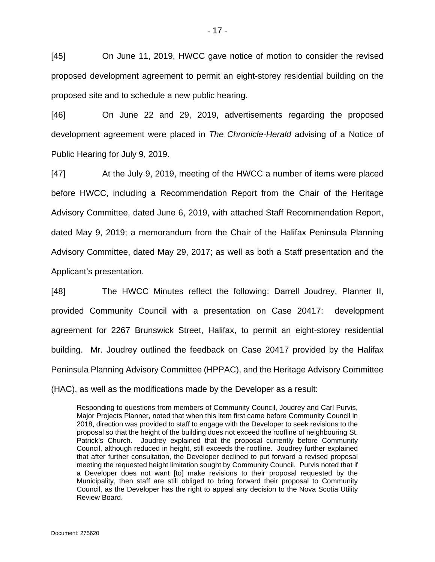[45] On June 11, 2019, HWCC gave notice of motion to consider the revised proposed development agreement to permit an eight-storey residential building on the proposed site and to schedule a new public hearing.

[46] On June 22 and 29, 2019, advertisements regarding the proposed development agreement were placed in *The Chronicle-Herald* advising of a Notice of Public Hearing for July 9, 2019.

[47] At the July 9, 2019, meeting of the HWCC a number of items were placed before HWCC, including a Recommendation Report from the Chair of the Heritage Advisory Committee, dated June 6, 2019, with attached Staff Recommendation Report, dated May 9, 2019; a memorandum from the Chair of the Halifax Peninsula Planning Advisory Committee, dated May 29, 2017; as well as both a Staff presentation and the Applicant's presentation.

[48] The HWCC Minutes reflect the following: Darrell Joudrey, Planner II, provided Community Council with a presentation on Case 20417: development agreement for 2267 Brunswick Street, Halifax, to permit an eight-storey residential building. Mr. Joudrey outlined the feedback on Case 20417 provided by the Halifax Peninsula Planning Advisory Committee (HPPAC), and the Heritage Advisory Committee (HAC), as well as the modifications made by the Developer as a result:

Responding to questions from members of Community Council, Joudrey and Carl Purvis, Major Projects Planner, noted that when this item first came before Community Council in 2018, direction was provided to staff to engage with the Developer to seek revisions to the proposal so that the height of the building does not exceed the roofline of neighbouring St. Patrick's Church. Joudrey explained that the proposal currently before Community Council, although reduced in height, still exceeds the roofline. Joudrey further explained that after further consultation, the Developer declined to put forward a revised proposal meeting the requested height limitation sought by Community Council. Purvis noted that if a Developer does not want [to] make revisions to their proposal requested by the Municipality, then staff are still obliged to bring forward their proposal to Community Council, as the Developer has the right to appeal any decision to the Nova Scotia Utility Review Board.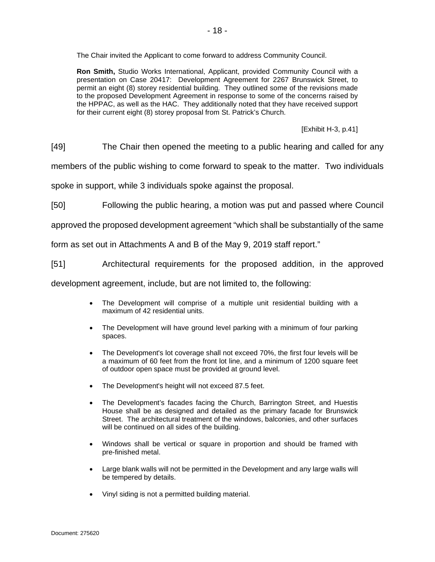The Chair invited the Applicant to come forward to address Community Council.

**Ron Smith,** Studio Works International, Applicant, provided Community Council with a presentation on Case 20417: Development Agreement for 2267 Brunswick Street, to permit an eight (8) storey residential building. They outlined some of the revisions made to the proposed Development Agreement in response to some of the concerns raised by the HPPAC, as well as the HAC. They additionally noted that they have received support for their current eight (8) storey proposal from St. Patrick's Church.

[Exhibit H-3, p.41]

[49] The Chair then opened the meeting to a public hearing and called for any

members of the public wishing to come forward to speak to the matter. Two individuals

spoke in support, while 3 individuals spoke against the proposal.

[50] Following the public hearing, a motion was put and passed where Council

approved the proposed development agreement "which shall be substantially of the same

form as set out in Attachments A and B of the May 9, 2019 staff report."

[51] Architectural requirements for the proposed addition, in the approved

development agreement, include, but are not limited to, the following:

- The Development will comprise of a multiple unit residential building with a maximum of 42 residential units.
- The Development will have ground level parking with a minimum of four parking spaces.
- The Development's lot coverage shall not exceed 70%, the first four levels will be a maximum of 60 feet from the front lot line, and a minimum of 1200 square feet of outdoor open space must be provided at ground level.
- The Development's height will not exceed 87.5 feet.
- The Development's facades facing the Church, Barrington Street, and Huestis House shall be as designed and detailed as the primary facade for Brunswick Street. The architectural treatment of the windows, balconies, and other surfaces will be continued on all sides of the building.
- Windows shall be vertical or square in proportion and should be framed with pre-finished metal.
- Large blank walls will not be permitted in the Development and any large walls will be tempered by details.
- Vinyl siding is not a permitted building material.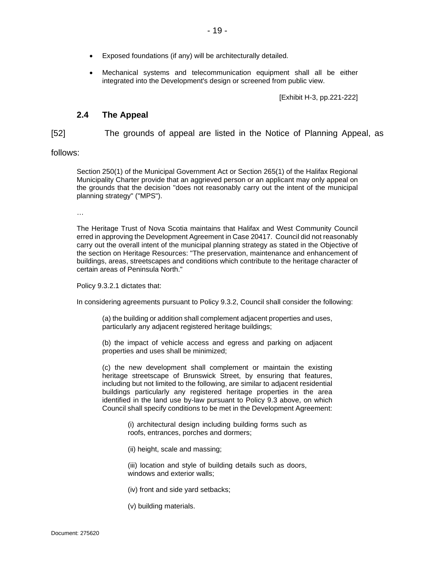- Exposed foundations (if any) will be architecturally detailed.
- Mechanical systems and telecommunication equipment shall all be either integrated into the Development's design or screened from public view.

[Exhibit H-3, pp.221-222]

### **2.4 The Appeal**

<span id="page-18-0"></span>[52] The grounds of appeal are listed in the Notice of Planning Appeal, as

### follows:

Section 250(1) of the Municipal Government Act or Section 265(1) of the Halifax Regional Municipality Charter provide that an aggrieved person or an applicant may only appeal on the grounds that the decision "does not reasonably carry out the intent of the municipal planning strategy" ("MPS").

…

The Heritage Trust of Nova Scotia maintains that Halifax and West Community Council erred in approving the Development Agreement in Case 20417. Council did not reasonably carry out the overall intent of the municipal planning strategy as stated in the Objective of the section on Heritage Resources: "The preservation, maintenance and enhancement of buildings, areas, streetscapes and conditions which contribute to the heritage character of certain areas of Peninsula North."

Policy 9.3.2.1 dictates that:

In considering agreements pursuant to Policy 9.3.2, Council shall consider the following:

(a) the building or addition shall complement adjacent properties and uses, particularly any adjacent registered heritage buildings;

(b) the impact of vehicle access and egress and parking on adjacent properties and uses shall be minimized;

(c) the new development shall complement or maintain the existing heritage streetscape of Brunswick Street, by ensuring that features, including but not limited to the following, are similar to adjacent residential buildings particularly any registered heritage properties in the area identified in the land use by-law pursuant to Policy 9.3 above, on which Council shall specify conditions to be met in the Development Agreement:

> (i) architectural design including building forms such as roofs, entrances, porches and dormers;

(ii) height, scale and massing;

(iii) location and style of building details such as doors, windows and exterior walls;

- (iv) front and side yard setbacks;
- (v) building materials.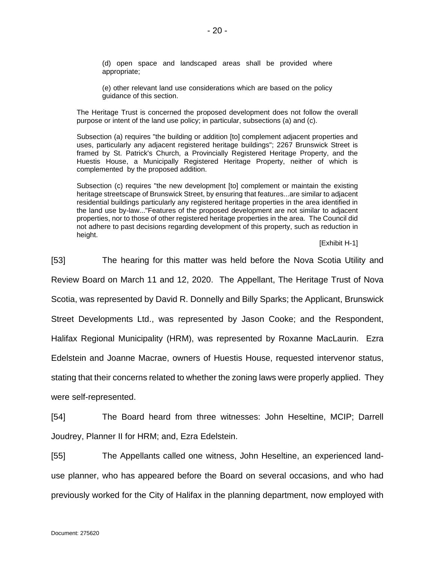(d) open space and landscaped areas shall be provided where appropriate;

(e) other relevant land use considerations which are based on the policy guidance of this section.

The Heritage Trust is concerned the proposed development does not follow the overall purpose or intent of the land use policy; in particular, subsections (a) and (c).

Subsection (a) requires "the building or addition [to] complement adjacent properties and uses, particularly any adjacent registered heritage buildings"; 2267 Brunswick Street is framed by St. Patrick's Church, a Provincially Registered Heritage Property, and the Huestis House, a Municipally Registered Heritage Property, neither of which is complemented by the proposed addition.

Subsection (c) requires "the new development [to] complement or maintain the existing heritage streetscape of Brunswick Street, by ensuring that features...are similar to adjacent residential buildings particularly any registered heritage properties in the area identified in the land use by-law..."Features of the proposed development are not similar to adjacent properties, nor to those of other registered heritage properties in the area. The Council did not adhere to past decisions regarding development of this property, such as reduction in height.

### [Exhibit H-1]

[53] The hearing for this matter was held before the Nova Scotia Utility and Review Board on March 11 and 12, 2020. The Appellant, The Heritage Trust of Nova Scotia, was represented by David R. Donnelly and Billy Sparks; the Applicant, Brunswick Street Developments Ltd., was represented by Jason Cooke; and the Respondent, Halifax Regional Municipality (HRM), was represented by Roxanne MacLaurin. Ezra Edelstein and Joanne Macrae, owners of Huestis House, requested intervenor status, stating that their concerns related to whether the zoning laws were properly applied. They were self-represented.

[54] The Board heard from three witnesses: John Heseltine, MCIP; Darrell Joudrey, Planner II for HRM; and, Ezra Edelstein.

[55] The Appellants called one witness, John Heseltine, an experienced landuse planner, who has appeared before the Board on several occasions, and who had previously worked for the City of Halifax in the planning department, now employed with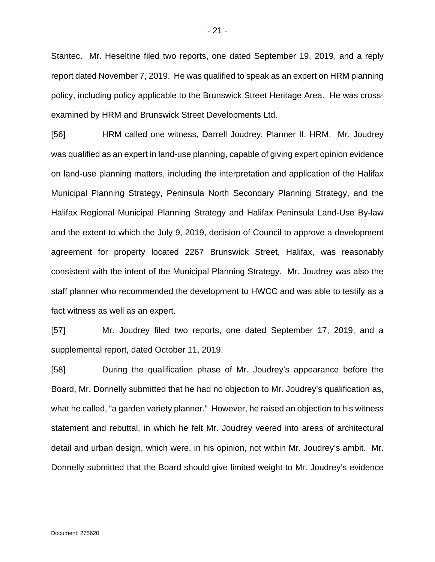Stantec. Mr. Heseltine filed two reports, one dated September 19, 2019, and a reply report dated November 7, 2019. He was qualified to speak as an expert on HRM planning policy, including policy applicable to the Brunswick Street Heritage Area. He was crossexamined by HRM and Brunswick Street Developments Ltd.

[56] HRM called one witness, Darrell Joudrey, Planner II, HRM. Mr. Joudrey was qualified as an expert in land-use planning, capable of giving expert opinion evidence on land-use planning matters, including the interpretation and application of the Halifax Municipal Planning Strategy, Peninsula North Secondary Planning Strategy, and the Halifax Regional Municipal Planning Strategy and Halifax Peninsula Land-Use By-law and the extent to which the July 9, 2019, decision of Council to approve a development agreement for property located 2267 Brunswick Street, Halifax, was reasonably consistent with the intent of the Municipal Planning Strategy. Mr. Joudrey was also the staff planner who recommended the development to HWCC and was able to testify as a fact witness as well as an expert.

[57] Mr. Joudrey filed two reports, one dated September 17, 2019, and a supplemental report, dated October 11, 2019.

[58] During the qualification phase of Mr. Joudrey's appearance before the Board, Mr. Donnelly submitted that he had no objection to Mr. Joudrey's qualification as, what he called, "a garden variety planner." However, he raised an objection to his witness statement and rebuttal, in which he felt Mr. Joudrey veered into areas of architectural detail and urban design, which were, in his opinion, not within Mr. Joudrey's ambit. Mr. Donnelly submitted that the Board should give limited weight to Mr. Joudrey's evidence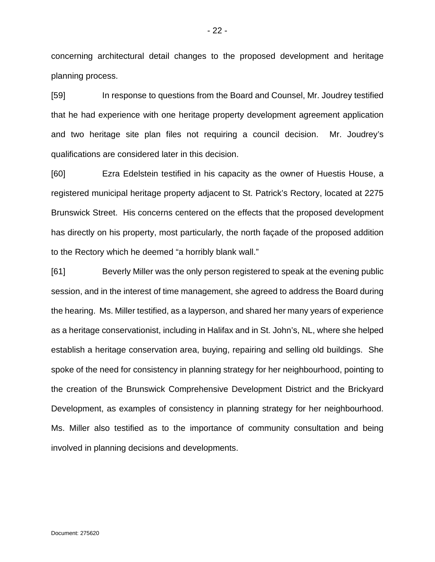concerning architectural detail changes to the proposed development and heritage planning process.

[59] In response to questions from the Board and Counsel, Mr. Joudrey testified that he had experience with one heritage property development agreement application and two heritage site plan files not requiring a council decision. Mr. Joudrey's qualifications are considered later in this decision.

[60] Ezra Edelstein testified in his capacity as the owner of Huestis House, a registered municipal heritage property adjacent to St. Patrick's Rectory, located at 2275 Brunswick Street. His concerns centered on the effects that the proposed development has directly on his property, most particularly, the north façade of the proposed addition to the Rectory which he deemed "a horribly blank wall."

[61] Beverly Miller was the only person registered to speak at the evening public session, and in the interest of time management, she agreed to address the Board during the hearing. Ms. Miller testified, as a layperson, and shared her many years of experience as a heritage conservationist, including in Halifax and in St. John's, NL, where she helped establish a heritage conservation area, buying, repairing and selling old buildings. She spoke of the need for consistency in planning strategy for her neighbourhood, pointing to the creation of the Brunswick Comprehensive Development District and the Brickyard Development, as examples of consistency in planning strategy for her neighbourhood. Ms. Miller also testified as to the importance of community consultation and being involved in planning decisions and developments.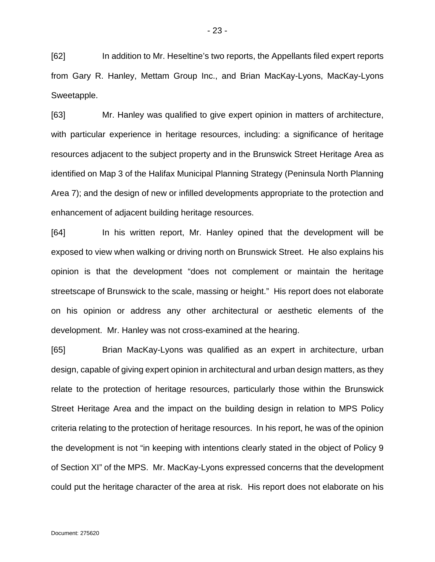[62] In addition to Mr. Heseltine's two reports, the Appellants filed expert reports from Gary R. Hanley, Mettam Group Inc., and Brian MacKay-Lyons, MacKay-Lyons Sweetapple.

[63] Mr. Hanley was qualified to give expert opinion in matters of architecture, with particular experience in heritage resources, including: a significance of heritage resources adjacent to the subject property and in the Brunswick Street Heritage Area as identified on Map 3 of the Halifax Municipal Planning Strategy (Peninsula North Planning Area 7); and the design of new or infilled developments appropriate to the protection and enhancement of adjacent building heritage resources.

[64] In his written report, Mr. Hanley opined that the development will be exposed to view when walking or driving north on Brunswick Street. He also explains his opinion is that the development "does not complement or maintain the heritage streetscape of Brunswick to the scale, massing or height." His report does not elaborate on his opinion or address any other architectural or aesthetic elements of the development. Mr. Hanley was not cross-examined at the hearing.

[65] Brian MacKay-Lyons was qualified as an expert in architecture, urban design, capable of giving expert opinion in architectural and urban design matters, as they relate to the protection of heritage resources, particularly those within the Brunswick Street Heritage Area and the impact on the building design in relation to MPS Policy criteria relating to the protection of heritage resources. In his report, he was of the opinion the development is not "in keeping with intentions clearly stated in the object of Policy 9 of Section XI" of the MPS. Mr. MacKay-Lyons expressed concerns that the development could put the heritage character of the area at risk. His report does not elaborate on his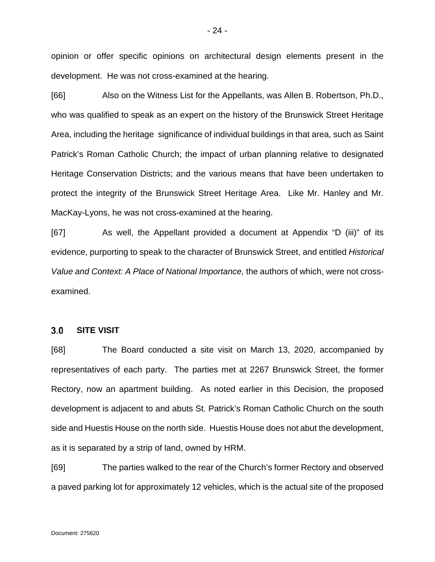opinion or offer specific opinions on architectural design elements present in the development. He was not cross-examined at the hearing.

[66] Also on the Witness List for the Appellants, was Allen B. Robertson, Ph.D., who was qualified to speak as an expert on the history of the Brunswick Street Heritage Area, including the heritage significance of individual buildings in that area, such as Saint Patrick's Roman Catholic Church; the impact of urban planning relative to designated Heritage Conservation Districts; and the various means that have been undertaken to protect the integrity of the Brunswick Street Heritage Area. Like Mr. Hanley and Mr. MacKay-Lyons, he was not cross-examined at the hearing.

[67] As well, the Appellant provided a document at Appendix "D (iii)" of its evidence, purporting to speak to the character of Brunswick Street, and entitled *Historical Value and Context: A Place of National Importance,* the authors of which, were not crossexamined.

#### <span id="page-23-0"></span> $3.0$ **SITE VISIT**

[68] The Board conducted a site visit on March 13, 2020, accompanied by representatives of each party. The parties met at 2267 Brunswick Street, the former Rectory, now an apartment building. As noted earlier in this Decision, the proposed development is adjacent to and abuts St. Patrick's Roman Catholic Church on the south side and Huestis House on the north side. Huestis House does not abut the development, as it is separated by a strip of land, owned by HRM.

[69] The parties walked to the rear of the Church's former Rectory and observed a paved parking lot for approximately 12 vehicles, which is the actual site of the proposed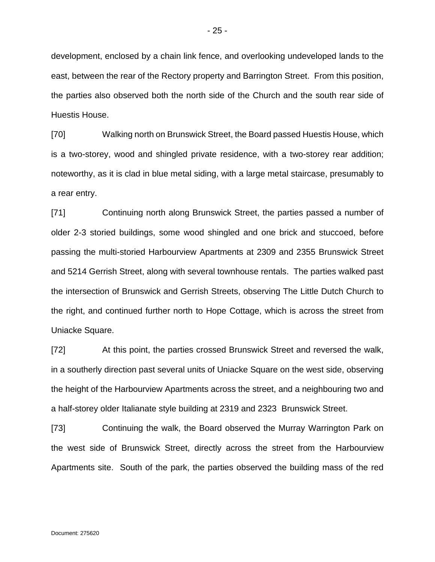development, enclosed by a chain link fence, and overlooking undeveloped lands to the east, between the rear of the Rectory property and Barrington Street. From this position, the parties also observed both the north side of the Church and the south rear side of Huestis House.

[70] Walking north on Brunswick Street, the Board passed Huestis House, which is a two-storey, wood and shingled private residence, with a two-storey rear addition; noteworthy, as it is clad in blue metal siding, with a large metal staircase, presumably to a rear entry.

[71] Continuing north along Brunswick Street, the parties passed a number of older 2-3 storied buildings, some wood shingled and one brick and stuccoed, before passing the multi-storied Harbourview Apartments at 2309 and 2355 Brunswick Street and 5214 Gerrish Street, along with several townhouse rentals. The parties walked past the intersection of Brunswick and Gerrish Streets, observing The Little Dutch Church to the right, and continued further north to Hope Cottage, which is across the street from Uniacke Square.

[72] At this point, the parties crossed Brunswick Street and reversed the walk, in a southerly direction past several units of Uniacke Square on the west side, observing the height of the Harbourview Apartments across the street, and a neighbouring two and a half-storey older Italianate style building at 2319 and 2323 Brunswick Street.

[73] Continuing the walk, the Board observed the Murray Warrington Park on the west side of Brunswick Street, directly across the street from the Harbourview Apartments site. South of the park, the parties observed the building mass of the red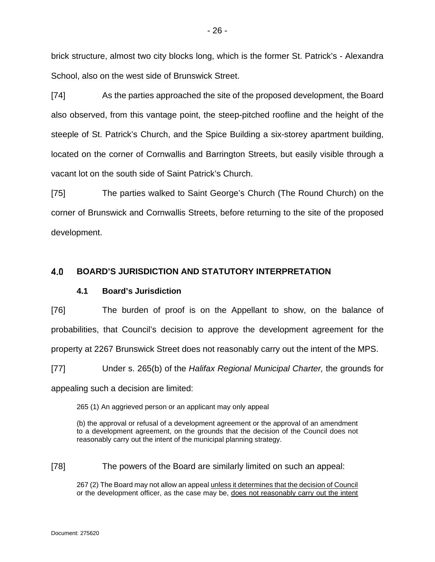brick structure, almost two city blocks long, which is the former St. Patrick's - Alexandra School, also on the west side of Brunswick Street.

[74] As the parties approached the site of the proposed development, the Board also observed, from this vantage point, the steep-pitched roofline and the height of the steeple of St. Patrick's Church, and the Spice Building a six-storey apartment building, located on the corner of Cornwallis and Barrington Streets, but easily visible through a vacant lot on the south side of Saint Patrick's Church.

[75] The parties walked to Saint George's Church (The Round Church) on the corner of Brunswick and Cornwallis Streets, before returning to the site of the proposed development.

#### <span id="page-25-1"></span><span id="page-25-0"></span>4.0 **BOARD'S JURISDICTION AND STATUTORY INTERPRETATION**

# **4.1 Board's Jurisdiction**

[76] The burden of proof is on the Appellant to show, on the balance of probabilities, that Council's decision to approve the development agreement for the property at 2267 Brunswick Street does not reasonably carry out the intent of the MPS.

[77] Under s. 265(b) of the *Halifax Regional Municipal Charter,* the grounds for appealing such a decision are limited:

265 (1) An aggrieved person or an applicant may only appeal

(b) the approval or refusal of a development agreement or the approval of an amendment to a development agreement, on the grounds that the decision of the Council does not reasonably carry out the intent of the municipal planning strategy.

[78] The powers of the Board are similarly limited on such an appeal:

267 (2) The Board may not allow an appeal unless it determines that the decision of Council or the development officer, as the case may be, does not reasonably carry out the intent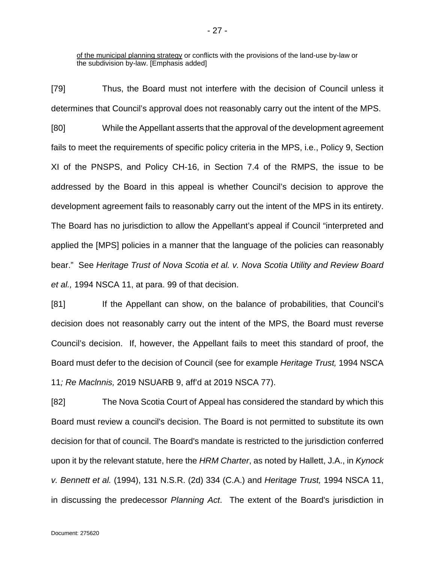of the municipal planning strategy or conflicts with the provisions of the land-use by-law or the subdivision by-law. [Emphasis added]

[79] Thus, the Board must not interfere with the decision of Council unless it determines that Council's approval does not reasonably carry out the intent of the MPS.

[80] While the Appellant asserts that the approval of the development agreement fails to meet the requirements of specific policy criteria in the MPS, i.e., Policy 9, Section XI of the PNSPS, and Policy CH-16, in Section 7.4 of the RMPS, the issue to be addressed by the Board in this appeal is whether Council's decision to approve the development agreement fails to reasonably carry out the intent of the MPS in its entirety. The Board has no jurisdiction to allow the Appellant's appeal if Council "interpreted and applied the [MPS] policies in a manner that the language of the policies can reasonably bear." See *Heritage Trust of Nova Scotia et al. v. Nova Scotia Utility and Review Board et al.,* 1994 NSCA 11, at para. 99 of that decision.

[81] If the Appellant can show, on the balance of probabilities, that Council's decision does not reasonably carry out the intent of the MPS, the Board must reverse Council's decision. If, however, the Appellant fails to meet this standard of proof, the Board must defer to the decision of Council (see for example *Heritage Trust,* 1994 NSCA 11*; Re Maclnnis,* 2019 NSUARB 9, aff'd at 2019 NSCA 77).

[82] The Nova Scotia Court of Appeal has considered the standard by which this Board must review a council's decision. The Board is not permitted to substitute its own decision for that of council. The Board's mandate is restricted to the jurisdiction conferred upon it by the relevant statute, here the *HRM Charter*, as noted by Hallett, J.A., in *Kynock v. Bennett et al.* (1994), 131 N.S.R. (2d) 334 (C.A.) and *Heritage Trust,* 1994 NSCA 11, in discussing the predecessor *Planning Act*. The extent of the Board's jurisdiction in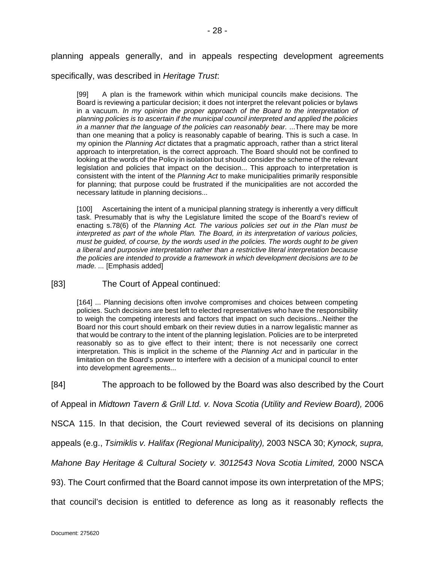planning appeals generally, and in appeals respecting development agreements

specifically, was described in *Heritage Trust*:

[99] A plan is the framework within which municipal councils make decisions. The Board is reviewing a particular decision; it does not interpret the relevant policies or bylaws in a vacuum. *In my opinion the proper approach of the Board to the interpretation of planning policies is to ascertain if the municipal council interpreted and applied the policies in a manner that the language of the policies can reasonably bear.* ...There may be more than one meaning that a policy is reasonably capable of bearing. This is such a case. In my opinion the *Planning Act* dictates that a pragmatic approach, rather than a strict literal approach to interpretation, is the correct approach. The Board should not be confined to looking at the words of the Policy in isolation but should consider the scheme of the relevant legislation and policies that impact on the decision... This approach to interpretation is consistent with the intent of the *Planning Act* to make municipalities primarily responsible for planning; that purpose could be frustrated if the municipalities are not accorded the necessary latitude in planning decisions...

[100] Ascertaining the intent of a municipal planning strategy is inherently a very difficult task. Presumably that is why the Legislature limited the scope of the Board's review of enacting s.78(6) of the *Planning Act. The various policies set out in the Plan must be interpreted as part of the whole Plan. The Board, in its interpretation of various policies, must be guided, of course, by the words used in the policies. The words ought to be given a liberal and purposive interpretation rather than a restrictive literal interpretation because the policies are intended to provide a framework in which development decisions are to be made. ...* [Emphasis added]

# [83] The Court of Appeal continued:

[164] ... Planning decisions often involve compromises and choices between competing policies. Such decisions are best left to elected representatives who have the responsibility to weigh the competing interests and factors that impact on such decisions...Neither the Board nor this court should embark on their review duties in a narrow legalistic manner as that would be contrary to the intent of the planning legislation. Policies are to be interpreted reasonably so as to give effect to their intent; there is not necessarily one correct interpretation. This is implicit in the scheme of the *Planning Act* and in particular in the limitation on the Board's power to interfere with a decision of a municipal council to enter into development agreements...

[84] The approach to be followed by the Board was also described by the Court

of Appeal in *Midtown Tavern & Grill Ltd. v. Nova Scotia (Utility and Review Board),* 2006

NSCA 115. In that decision, the Court reviewed several of its decisions on planning

appeals (e.g., *Tsimiklis v. Halifax (Regional Municipality),* 2003 NSCA 30; *Kynock, supra,* 

*Mahone Bay Heritage & Cultural Society v. 3012543 Nova Scotia Limited, 2000 NSCA* 

93). The Court confirmed that the Board cannot impose its own interpretation of the MPS;

that council's decision is entitled to deference as long as it reasonably reflects the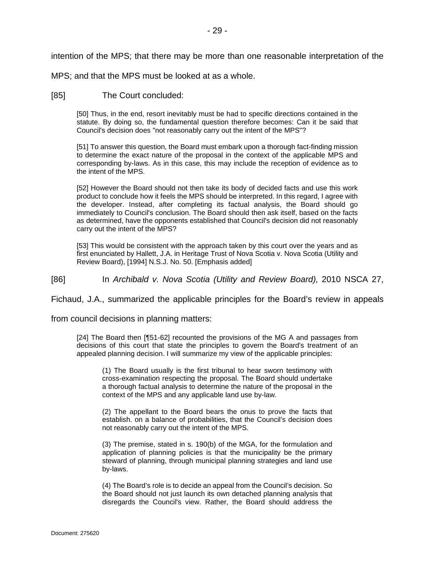intention of the MPS; that there may be more than one reasonable interpretation of the

MPS; and that the MPS must be looked at as a whole.

### [85] The Court concluded:

[50] Thus, in the end, resort inevitably must be had to specific directions contained in the statute. By doing so, the fundamental question therefore becomes: Can it be said that Council's decision does "not reasonably carry out the intent of the MPS"?

[51] To answer this question, the Board must embark upon a thorough fact-finding mission to determine the exact nature of the proposal in the context of the applicable MPS and corresponding by-laws. As in this case, this may include the reception of evidence as to the intent of the MPS.

[52] However the Board should not then take its body of decided facts and use this work product to conclude how it feels the MPS should be interpreted. In this regard, I agree with the developer. Instead, after completing its factual analysis, the Board should go immediately to Council's conclusion. The Board should then ask itself, based on the facts as determined, have the opponents established that Council's decision did not reasonably carry out the intent of the MPS?

[53] This would be consistent with the approach taken by this court over the years and as first enunciated by Hallett, J.A. in Heritage Trust of Nova Scotia v. Nova Scotia (Utility and Review Board), [1994] N.S.J. No. 50. [Emphasis added]

[86] In *Archibald v. Nova Scotia (Utility and Review Board),* 2010 NSCA 27,

Fichaud, J.A., summarized the applicable principles for the Board's review in appeals

from council decisions in planning matters:

[24] The Board then [¶51-62] recounted the provisions of the MG A and passages from decisions of this court that state the principles to govern the Board's treatment of an appealed planning decision. I will summarize my view of the applicable principles:

(1) The Board usually is the first tribunal to hear sworn testimony with cross-examination respecting the proposal. The Board should undertake a thorough factual analysis to determine the nature of the proposal in the context of the MPS and any applicable land use by-law.

(2) The appellant to the Board bears the onus to prove the facts that establish. on a balance of probabilities, that the Council's decision does not reasonably carry out the intent of the MPS.

(3) The premise, stated in s. 190(b) of the MGA, for the formulation and application of planning policies is that the municipality be the primary steward of planning, through municipal planning strategies and land use by-laws.

(4) The Board's role is to decide an appeal from the Council's decision. So the Board should not just launch its own detached planning analysis that disregards the Council's view. Rather, the Board should address the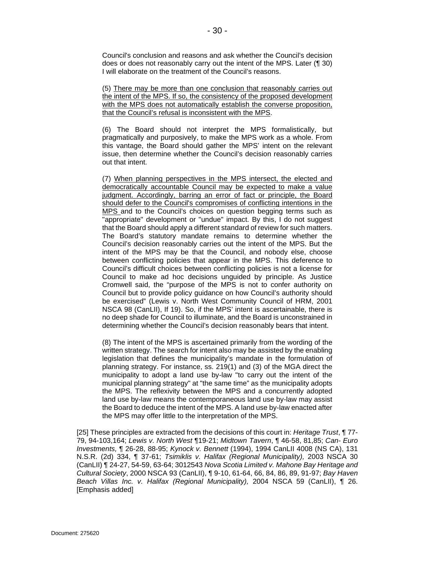Council's conclusion and reasons and ask whether the Council's decision does or does not reasonably carry out the intent of the MPS. Later (¶ 30) I will elaborate on the treatment of the Council's reasons.

(5) There may be more than one conclusion that reasonably carries out the intent of the MPS. If so, the consistency of the proposed development with the MPS does not automatically establish the converse proposition, that the Council's refusal is inconsistent with the MPS.

(6) The Board should not interpret the MPS formalistically, but pragmatically and purposively, to make the MPS work as a whole. From this vantage, the Board should gather the MPS' intent on the relevant issue, then determine whether the Council's decision reasonably carries out that intent.

(7) When planning perspectives in the MPS intersect, the elected and democratically accountable Council may be expected to make a value judgment. Accordingly, barring an error of fact or principle, the Board should defer to the Council's compromises of conflicting intentions in the MPS and to the Council's choices on question begging terms such as "appropriate" development or "undue" impact. By this, I do not suggest that the Board should apply a different standard of review for such matters. The Board's statutory mandate remains to determine whether the Council's decision reasonably carries out the intent of the MPS. But the intent of the MPS may be that the Council, and nobody else, choose between conflicting policies that appear in the MPS. This deference to Council's difficult choices between conflicting policies is not a license for Council to make ad hoc decisions unguided by principle. As Justice Cromwell said, the "purpose of the MPS is not to confer authority on Council but to provide policy guidance on how Council's authority should be exercised" (Lewis v. North West Community Council of HRM, 2001 NSCA 98 (CanLII), If 19). So, if the MPS' intent is ascertainable, there is no deep shade for Council to illuminate, and the Board is unconstrained in determining whether the Council's decision reasonably bears that intent.

(8) The intent of the MPS is ascertained primarily from the wording of the written strategy. The search for intent also may be assisted by the enabling legislation that defines the municipality's mandate in the formulation of planning strategy. For instance, ss. 219(1) and (3) of the MGA direct the municipality to adopt a land use by-law "to carry out the intent of the municipal planning strategy" at "the same time" as the municipality adopts the MPS. The reflexivity between the MPS and a concurrently adopted land use by-law means the contemporaneous land use by-law may assist the Board to deduce the intent of the MPS. A land use by-law enacted after the MPS may offer little to the interpretation of the MPS.

[25] These principles are extracted from the decisions of this court in: *Heritage Trust*, ¶ 77- 79, 94-103,164; *Lewis v. North West* ¶19-21; *Midtown Tavern*, ¶ 46-58, 81,85; *Can- Euro Investments,* ¶ 26-28, 88-95; *Kynock v. Bennett* (1994), 1994 CanLII 4008 (NS CA), 131 N.S.R. (2d) 334, ¶ 37-61; *Tsimiklis v. Halifax (Regional Municipality),* 2003 NSCA 30 (CanLII) ¶ 24-27, 54-59, 63-64; 3012543 *Nova Scotia Limited v. Mahone Bay Heritage and Cultural Society*, 2000 NSCA 93 (CanLII), ¶ 9-10, 61-64, 66, 84, 86, 89, 91-97; *Bay Haven Beach Villas Inc. v. Halifax (Regional Municipality),* 2004 NSCA 59 (CanLII), ¶ 26. [Emphasis added]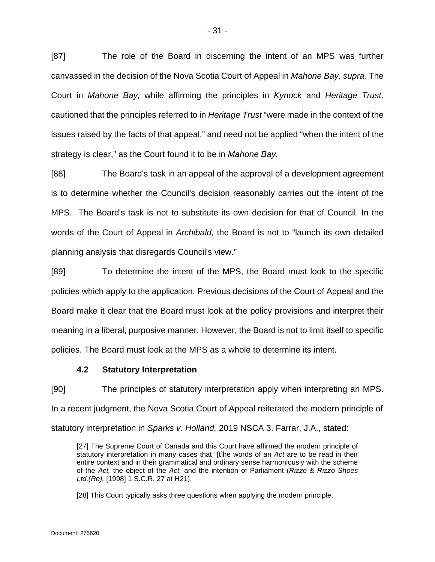[87] The role of the Board in discerning the intent of an MPS was further canvassed in the decision of the Nova Scotia Court of Appeal in *Mahone Bay, supra.* The Court in *Mahone Bay,* while affirming the principles in *Kynock* and *Heritage Trust,*  cautioned that the principles referred to in *Heritage Trust* "were made in the context of the issues raised by the facts of that appeal," and need not be applied "when the intent of the strategy is clear," as the Court found it to be in *Mahone Bay.*

[88] The Board's task in an appeal of the approval of a development agreement is to determine whether the Council's decision reasonably carries out the intent of the MPS. The Board's task is not to substitute its own decision for that of Council. In the words of the Court of Appeal in *Archibald,* the Board is not to "launch its own detailed planning analysis that disregards Council's view."

[89] To determine the intent of the MPS, the Board must look to the specific policies which apply to the application. Previous decisions of the Court of Appeal and the Board make it clear that the Board must look at the policy provisions and interpret their meaning in a liberal, purposive manner. However, the Board is not to limit itself to specific policies. The Board must look at the MPS as a whole to determine its intent.

# **4.2 Statutory Interpretation**

<span id="page-30-0"></span>[90] The principles of statutory interpretation apply when interpreting an MPS. In a recent judgment, the Nova Scotia Court of Appeal reiterated the modern principle of statutory interpretation in *Sparks v. Holland,* 2019 NSCA 3. Farrar, J.A., stated:

[27] The Supreme Court of Canada and this Court have affirmed the modern principle of statutory interpretation in many cases that "[t]he words of an *Act* are to be read in their entire context and in their grammatical and ordinary sense harmoniously with the scheme of the *Act,* the object of the *Act,* and the intention of Parliament (*Rizzo & Rizzo Shoes Ltd.(Re),* [1998] 1 S.C.R. 27 at H21).

[28] This Court typically asks three questions when applying the modern principle.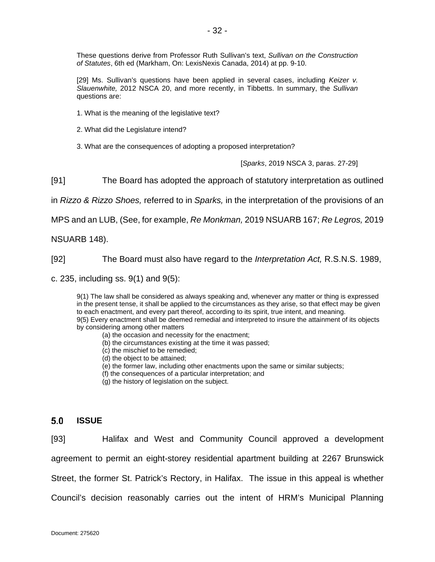These questions derive from Professor Ruth Sullivan's text, *Sullivan on the Construction of Statutes*, 6th ed (Markham, On: LexisNexis Canada, 2014) at pp. 9-10.

[29] Ms. Sullivan's questions have been applied in several cases, including *Keizer v. Slauenwhite,* 2012 NSCA 20, and more recently, in Tibbetts. In summary, the *Sullivan*  questions are:

- 1. What is the meaning of the legislative text?
- 2. What did the Legislature intend?

3. What are the consequences of adopting a proposed interpretation?

[*Sparks*, 2019 NSCA 3, paras. 27-29]

[91] The Board has adopted the approach of statutory interpretation as outlined

in *Rizzo & Rizzo Shoes,* referred to in *Sparks,* in the interpretation of the provisions of an

MPS and an LUB, (See, for example, *Re Monkman,* 2019 NSUARB 167; *Re Legros,* 2019

NSUARB 148).

[92] The Board must also have regard to the *Interpretation Act,* R.S.N.S. 1989,

c. 235, including ss. 9(1) and 9(5):

9(1) The law shall be considered as always speaking and, whenever any matter or thing is expressed in the present tense, it shall be applied to the circumstances as they arise, so that effect may be given to each enactment, and every part thereof, according to its spirit, true intent, and meaning. 9(5) Every enactment shall be deemed remedial and interpreted to insure the attainment of its objects by considering among other matters

- (a) the occasion and necessity for the enactment;
- (b) the circumstances existing at the time it was passed;
- (c) the mischief to be remedied;
- (d) the object to be attained;
- (e) the former law, including other enactments upon the same or similar subjects;
- (f) the consequences of a particular interpretation; and
- (g) the history of legislation on the subject.

#### <span id="page-31-0"></span> $5.0$ **ISSUE**

[93] Halifax and West and Community Council approved a development agreement to permit an eight-storey residential apartment building at 2267 Brunswick Street, the former St. Patrick's Rectory, in Halifax. The issue in this appeal is whether Council's decision reasonably carries out the intent of HRM's Municipal Planning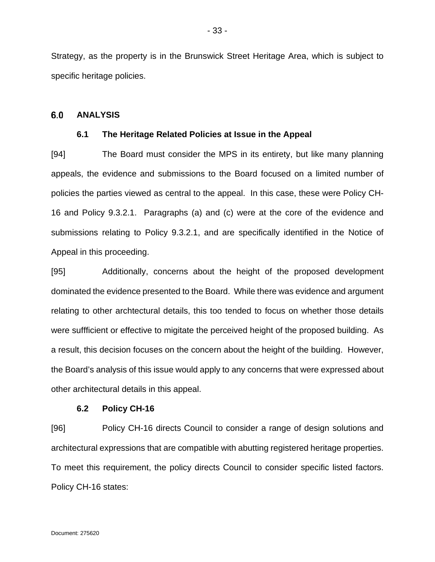Strategy, as the property is in the Brunswick Street Heritage Area, which is subject to specific heritage policies.

#### <span id="page-32-1"></span><span id="page-32-0"></span> $6.0$ **ANALYSIS**

### **6.1 The Heritage Related Policies at Issue in the Appeal**

[94] The Board must consider the MPS in its entirety, but like many planning appeals, the evidence and submissions to the Board focused on a limited number of policies the parties viewed as central to the appeal. In this case, these were Policy CH-16 and Policy 9.3.2.1. Paragraphs (a) and (c) were at the core of the evidence and submissions relating to Policy 9.3.2.1, and are specifically identified in the Notice of Appeal in this proceeding.

[95] Additionally, concerns about the height of the proposed development dominated the evidence presented to the Board. While there was evidence and argument relating to other archtectural details, this too tended to focus on whether those details were suffficient or effective to migitate the perceived height of the proposed building. As a result, this decision focuses on the concern about the height of the building. However, the Board's analysis of this issue would apply to any concerns that were expressed about other architectural details in this appeal.

### **6.2 Policy CH-16**

<span id="page-32-2"></span>[96] Policy CH-16 directs Council to consider a range of design solutions and architectural expressions that are compatible with abutting registered heritage properties. To meet this requirement, the policy directs Council to consider specific listed factors. Policy CH-16 states: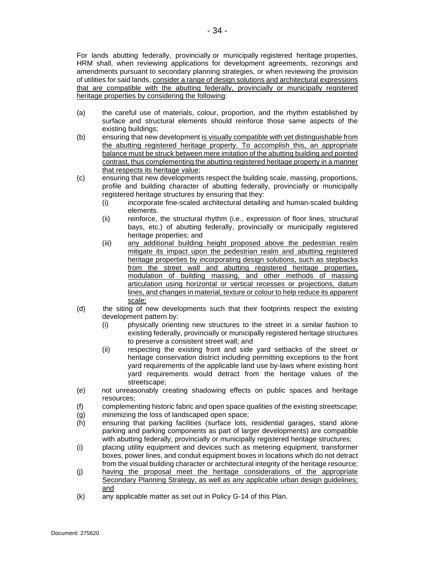For lands abutting federally, provincially or municipally registered heritage properties, HRM shall, when reviewing applications for development agreements, rezonings and amendments pursuant to secondary planning strategies, or when reviewing the provision of utilities for said lands, consider a range of design solutions and architectural expressions that are compatible with the abutting federally, provincially or municipally registered heritage properties by considering the following:

- (a) the careful use of materials, colour, proportion, and the rhythm established by surface and structural elements should reinforce those same aspects of the existing buildings;
- (b) ensuring that new development is visually compatible with yet distinguishable from the abutting registered heritage property. To accomplish this, an appropriate balance must be struck between mere imitation of the abutting building and pointed contrast, thus complementing the abutting registered heritage property in a manner that respects its heritage value;
- (c) ensuring that new developments respect the building scale, massing, proportions, profile and building character of abutting federally, provincially or municipally registered heritage structures by ensuring that they:
	- (i) incorporate fine-scaled architectural detailing and human-scaled building elements.
	- (ii) reinforce, the structural rhythm (i.e., expression of floor lines, structural bays, etc.) of abutting federally, provincially or municipally registered heritage properties; and
	- (iii) any additional building height proposed above the pedestrian realm mitigate its impact upon the pedestrian realm and abutting registered heritage properties by incorporating design solutions, such as stepbacks from the street wall and abutting registered heritage properties, modulation of building massing, and other methods of massing articulation using horizontal or vertical recesses or projections, datum lines, and changes in material, texture or colour to help reduce its apparent scale;
- (d) the siting of new developments such that their footprints respect the existing development pattern by:
	- (i) physically orienting new structures to the street in a similar fashion to existing federally, provincially or municipally registered heritage structures to preserve a consistent street wall; and
	- (ii) respecting the existing front and side yard setbacks of the street or heritage conservation district including permitting exceptions to the front yard requirements of the applicable land use by-laws where existing front yard requirements would detract from the heritage values of the streetscape;
- (e) not unreasonably creating shadowing effects on public spaces and heritage resources;
- (f) complementing historic fabric and open space qualities of the existing streetscape;
- (g) minimizing the loss of landscaped open space;
- (h) ensuring that parking facilities (surface lots, residential garages, stand alone parking and parking components as part of larger developments) are compatible with abutting federally, provincially or municipally registered heritage structures;
- (i) placing utility equipment and devices such as metering equipment, transformer boxes, power lines, and conduit equipment boxes in locations which do not detract from the visual building character or architectural integrity of the heritage resource;
- (j) having the proposal meet the heritage considerations of the appropriate Secondary Planning Strategy, as well as any applicable urban design guidelines; and
- (k) any applicable matter as set out in Policy G-14 of this Plan.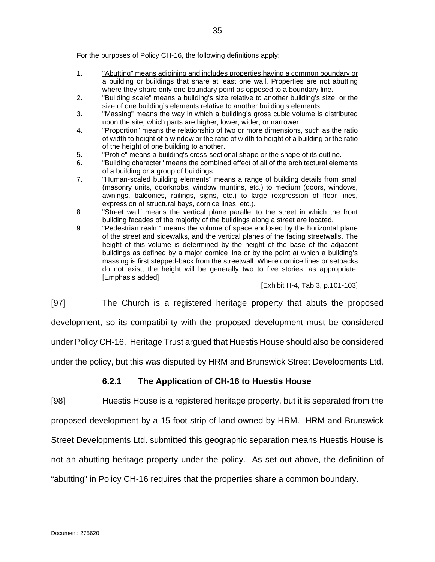For the purposes of Policy CH-16, the following definitions apply:

- 1. "Abutting" means adjoining and includes properties having a common boundary or a building or buildings that share at least one wall. Properties are not abutting where they share only one boundary point as opposed to a boundary line.
- 2. "Building scale" means a building's size relative to another building's size, or the size of one building's elements relative to another building's elements.
- 3. "Massing" means the way in which a building's gross cubic volume is distributed upon the site, which parts are higher, lower, wider, or narrower.
- 4. "Proportion" means the relationship of two or more dimensions, such as the ratio of width to height of a window or the ratio of width to height of a building or the ratio of the height of one building to another.
- 5. "Profile" means a building's cross-sectional shape or the shape of its outline.
- 6. "Building character" means the combined effect of all of the architectural elements of a building or a group of buildings.
- 7. "Human-scaled building elements" means a range of building details from small (masonry units, doorknobs, window muntins, etc.) to medium (doors, windows, awnings, balconies, railings, signs, etc.) to large (expression of floor lines, expression of structural bays, cornice lines, etc.).
- 8. "Street wall" means the vertical plane parallel to the street in which the front building facades of the majority of the buildings along a street are located.
- 9. "Pedestrian realm" means the volume of space enclosed by the horizontal plane of the street and sidewalks, and the vertical planes of the facing streetwalls. The height of this volume is determined by the height of the base of the adjacent buildings as defined by a major cornice line or by the point at which a building's massing is first stepped-back from the streetwall. Where cornice lines or setbacks do not exist, the height will be generally two to five stories, as appropriate. [Emphasis added]

### [Exhibit H-4, Tab 3, p.101-103]

[97] The Church is a registered heritage property that abuts the proposed

development, so its compatibility with the proposed development must be considered

under Policy CH-16. Heritage Trust argued that Huestis House should also be considered

<span id="page-34-0"></span>under the policy, but this was disputed by HRM and Brunswick Street Developments Ltd.

# **6.2.1 The Application of CH-16 to Huestis House**

[98] Huestis House is a registered heritage property, but it is separated from the proposed development by a 15-foot strip of land owned by HRM. HRM and Brunswick Street Developments Ltd. submitted this geographic separation means Huestis House is not an abutting heritage property under the policy. As set out above, the definition of "abutting" in Policy CH-16 requires that the properties share a common boundary.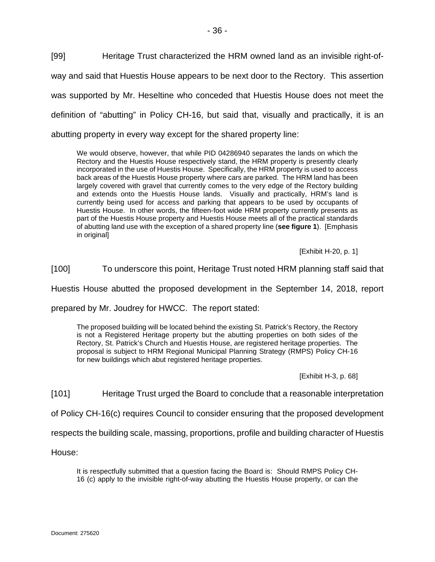[99] Heritage Trust characterized the HRM owned land as an invisible right-ofway and said that Huestis House appears to be next door to the Rectory. This assertion was supported by Mr. Heseltine who conceded that Huestis House does not meet the definition of "abutting" in Policy CH-16, but said that, visually and practically, it is an abutting property in every way except for the shared property line:

We would observe, however, that while PID 04286940 separates the lands on which the Rectory and the Huestis House respectively stand, the HRM property is presently clearly incorporated in the use of Huestis House. Specifically, the HRM property is used to access back areas of the Huestis House property where cars are parked. The HRM land has been largely covered with gravel that currently comes to the very edge of the Rectory building and extends onto the Huestis House lands. Visually and practically, HRM's land is currently being used for access and parking that appears to be used by occupants of Huestis House. In other words, the fifteen-foot wide HRM property currently presents as part of the Huestis House property and Huestis House meets all of the practical standards of abutting land use with the exception of a shared property line (**see figure 1**). [Emphasis in original]

[Exhibit H-20, p. 1]

[100] To underscore this point, Heritage Trust noted HRM planning staff said that

Huestis House abutted the proposed development in the September 14, 2018, report

prepared by Mr. Joudrey for HWCC. The report stated:

The proposed building will be located behind the existing St. Patrick's Rectory, the Rectory is not a Registered Heritage property but the abutting properties on both sides of the Rectory, St. Patrick's Church and Huestis House, are registered heritage properties. The proposal is subject to HRM Regional Municipal Planning Strategy (RMPS) Policy CH-16 for new buildings which abut registered heritage properties.

[Exhibit H-3, p. 68]

[101] Heritage Trust urged the Board to conclude that a reasonable interpretation

of Policy CH-16(c) requires Council to consider ensuring that the proposed development

respects the building scale, massing, proportions, profile and building character of Huestis

House:

It is respectfully submitted that a question facing the Board is: Should RMPS Policy CH-16 (c) apply to the invisible right-of-way abutting the Huestis House property, or can the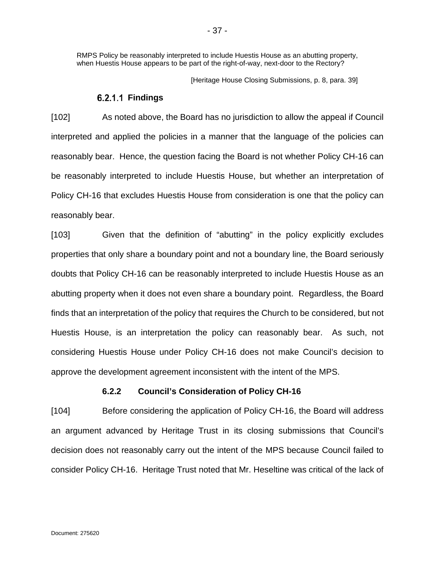RMPS Policy be reasonably interpreted to include Huestis House as an abutting property, when Huestis House appears to be part of the right-of-way, next-door to the Rectory?

[Heritage House Closing Submissions, p. 8, para. 39]

### **Findings**

[102] As noted above, the Board has no jurisdiction to allow the appeal if Council interpreted and applied the policies in a manner that the language of the policies can reasonably bear. Hence, the question facing the Board is not whether Policy CH-16 can be reasonably interpreted to include Huestis House, but whether an interpretation of Policy CH-16 that excludes Huestis House from consideration is one that the policy can reasonably bear.

[103] Given that the definition of "abutting" in the policy explicitly excludes properties that only share a boundary point and not a boundary line, the Board seriously doubts that Policy CH-16 can be reasonably interpreted to include Huestis House as an abutting property when it does not even share a boundary point. Regardless, the Board finds that an interpretation of the policy that requires the Church to be considered, but not Huestis House, is an interpretation the policy can reasonably bear. As such, not considering Huestis House under Policy CH-16 does not make Council's decision to approve the development agreement inconsistent with the intent of the MPS.

# **6.2.2 Council's Consideration of Policy CH-16**

[104] Before considering the application of Policy CH-16, the Board will address an argument advanced by Heritage Trust in its closing submissions that Council's decision does not reasonably carry out the intent of the MPS because Council failed to consider Policy CH-16. Heritage Trust noted that Mr. Heseltine was critical of the lack of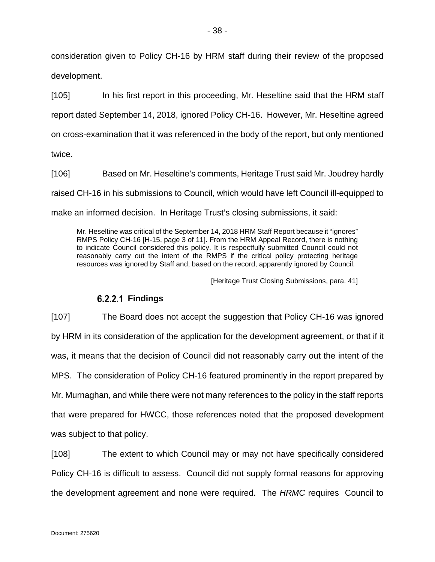consideration given to Policy CH-16 by HRM staff during their review of the proposed development.

[105] In his first report in this proceeding, Mr. Heseltine said that the HRM staff report dated September 14, 2018, ignored Policy CH-16. However, Mr. Heseltine agreed on cross-examination that it was referenced in the body of the report, but only mentioned twice.

[106] Based on Mr. Heseltine's comments, Heritage Trust said Mr. Joudrey hardly raised CH-16 in his submissions to Council, which would have left Council ill-equipped to make an informed decision. In Heritage Trust's closing submissions, it said:

Mr. Heseltine was critical of the September 14, 2018 HRM Staff Report because it "ignores" RMPS Policy CH-16 [H-15, page 3 of 11]. From the HRM Appeal Record, there is nothing to indicate Council considered this policy. It is respectfully submitted Council could not reasonably carry out the intent of the RMPS if the critical policy protecting heritage resources was ignored by Staff and, based on the record, apparently ignored by Council.

[Heritage Trust Closing Submissions, para. 41]

# **Findings**

[107] The Board does not accept the suggestion that Policy CH-16 was ignored by HRM in its consideration of the application for the development agreement, or that if it was, it means that the decision of Council did not reasonably carry out the intent of the MPS. The consideration of Policy CH-16 featured prominently in the report prepared by Mr. Murnaghan, and while there were not many references to the policy in the staff reports that were prepared for HWCC, those references noted that the proposed development was subject to that policy.

[108] The extent to which Council may or may not have specifically considered Policy CH-16 is difficult to assess. Council did not supply formal reasons for approving the development agreement and none were required. The *HRMC* requires Council to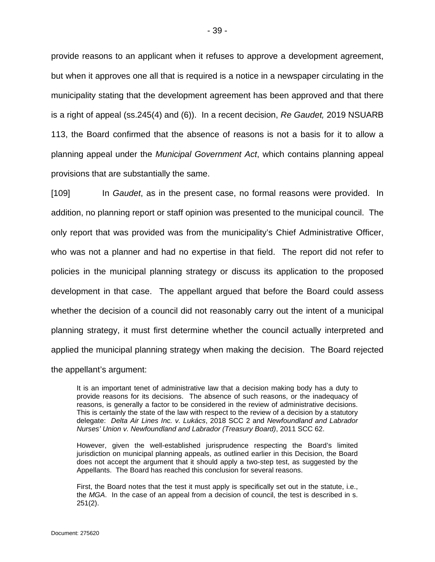provide reasons to an applicant when it refuses to approve a development agreement, but when it approves one all that is required is a notice in a newspaper circulating in the municipality stating that the development agreement has been approved and that there is a right of appeal (ss.245(4) and (6)). In a recent decision, *Re Gaudet,* 2019 NSUARB 113, the Board confirmed that the absence of reasons is not a basis for it to allow a planning appeal under the *Municipal Government Act*, which contains planning appeal provisions that are substantially the same.

[109] In *Gaudet*, as in the present case, no formal reasons were provided. In addition, no planning report or staff opinion was presented to the municipal council. The only report that was provided was from the municipality's Chief Administrative Officer, who was not a planner and had no expertise in that field. The report did not refer to policies in the municipal planning strategy or discuss its application to the proposed development in that case. The appellant argued that before the Board could assess whether the decision of a council did not reasonably carry out the intent of a municipal planning strategy, it must first determine whether the council actually interpreted and applied the municipal planning strategy when making the decision. The Board rejected the appellant's argument:

It is an important tenet of administrative law that a decision making body has a duty to provide reasons for its decisions. The absence of such reasons, or the inadequacy of reasons, is generally a factor to be considered in the review of administrative decisions. This is certainly the state of the law with respect to the review of a decision by a statutory delegate: *Delta Air Lines Inc. v. Lukács*, 2018 SCC 2 and *Newfoundland and Labrador Nurses' Union v. Newfoundland and Labrador (Treasury Board)*, 2011 SCC 62.

However, given the well-established jurisprudence respecting the Board's limited jurisdiction on municipal planning appeals, as outlined earlier in this Decision, the Board does not accept the argument that it should apply a two-step test, as suggested by the Appellants. The Board has reached this conclusion for several reasons.

First, the Board notes that the test it must apply is specifically set out in the statute, i.e., the *MGA*. In the case of an appeal from a decision of council, the test is described in s. 251(2).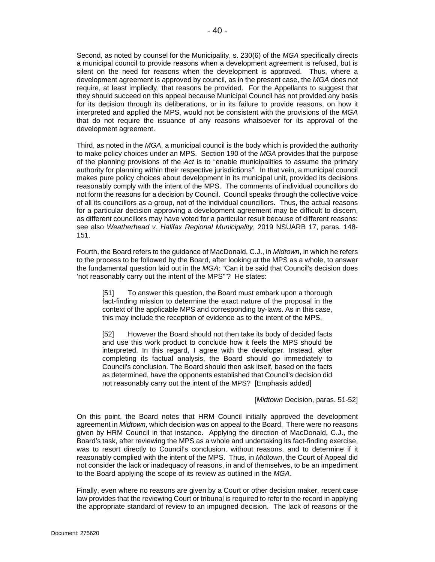Second, as noted by counsel for the Municipality, s. 230(6) of the *MGA* specifically directs a municipal council to provide reasons when a development agreement is refused, but is silent on the need for reasons when the development is approved. Thus, where a development agreement is approved by council, as in the present case, the *MGA* does not require, at least impliedly, that reasons be provided. For the Appellants to suggest that they should succeed on this appeal because Municipal Council has not provided any basis for its decision through its deliberations, or in its failure to provide reasons, on how it interpreted and applied the MPS, would not be consistent with the provisions of the *MGA* that do not require the issuance of any reasons whatsoever for its approval of the development agreement.

Third, as noted in the *MGA*, a municipal council is the body which is provided the authority to make policy choices under an MPS. Section 190 of the *MGA* provides that the purpose of the planning provisions of the *Act* is to "enable municipalities to assume the primary authority for planning within their respective jurisdictions". In that vein, a municipal council makes pure policy choices about development in its municipal unit, provided its decisions reasonably comply with the intent of the MPS. The comments of individual councillors do not form the reasons for a decision by Council. Council speaks through the collective voice of all its councillors as a group, not of the individual councillors. Thus, the actual reasons for a particular decision approving a development agreement may be difficult to discern, as different councillors may have voted for a particular result because of different reasons: see also *Weatherhead v. Halifax Regional Municipality*, 2019 NSUARB 17, paras. 148- 151.

Fourth, the Board refers to the guidance of MacDonald, C.J., in *Midtown*, in which he refers to the process to be followed by the Board, after looking at the MPS as a whole, to answer the fundamental question laid out in the *MGA*: "Can it be said that Council's decision does 'not reasonably carry out the intent of the MPS'"? He states:

[51] To answer this question, the Board must embark upon a thorough fact-finding mission to determine the exact nature of the proposal in the context of the applicable MPS and corresponding by-laws. As in this case, this may include the reception of evidence as to the intent of the MPS.

[52] However the Board should not then take its body of decided facts and use this work product to conclude how it feels the MPS should be interpreted. In this regard, I agree with the developer. Instead, after completing its factual analysis, the Board should go immediately to Council's conclusion. The Board should then ask itself, based on the facts as determined, have the opponents established that Council's decision did not reasonably carry out the intent of the MPS? [Emphasis added]

#### [*Midtown* Decision, paras. 51-52]

On this point, the Board notes that HRM Council initially approved the development agreement in *Midtown*, which decision was on appeal to the Board. There were no reasons given by HRM Council in that instance. Applying the direction of MacDonald, C.J., the Board's task, after reviewing the MPS as a whole and undertaking its fact-finding exercise, was to resort directly to Council's conclusion, without reasons, and to determine if it reasonably complied with the intent of the MPS. Thus, in *Midtown*, the Court of Appeal did not consider the lack or inadequacy of reasons, in and of themselves, to be an impediment to the Board applying the scope of its review as outlined in the *MGA*.

Finally, even where no reasons are given by a Court or other decision maker, recent case law provides that the reviewing Court or tribunal is required to refer to the record in applying the appropriate standard of review to an impugned decision. The lack of reasons or the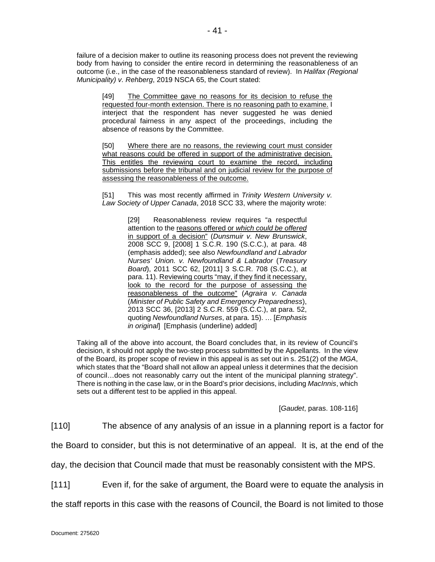failure of a decision maker to outline its reasoning process does not prevent the reviewing body from having to consider the entire record in determining the reasonableness of an outcome (i.e., in the case of the reasonableness standard of review). In *Halifax (Regional Municipality) v. Rehberg*, 2019 NSCA 65, the Court stated:

[49] The Committee gave no reasons for its decision to refuse the requested four-month extension. There is no reasoning path to examine. I interject that the respondent has never suggested he was denied procedural fairness in any aspect of the proceedings, including the absence of reasons by the Committee.

[50] Where there are no reasons, the reviewing court must consider what reasons could be offered in support of the administrative decision. This entitles the reviewing court to examine the record, including submissions before the tribunal and on judicial review for the purpose of assessing the reasonableness of the outcome.

[51] This was most recently affirmed in *Trinity Western University v. Law Society of Upper Canada*, 2018 SCC 33, where the majority wrote:

> [29] Reasonableness review requires "a respectful attention to the reasons offered or *which could be offered* in support of a decision" (*Dunsmuir v. New Brunswick*, 2008 SCC 9, [2008] 1 S.C.R. 190 (S.C.C.), at para. 48 (emphasis added); see also *Newfoundland and Labrador Nurses' Union. v. Newfoundland & Labrador* (*Treasury Board*), 2011 SCC 62, [2011] 3 S.C.R. 708 (S.C.C.), at para. 11). Reviewing courts "may, if they find it necessary, look to the record for the purpose of assessing the reasonableness of the outcome" (*Agraira v. Canada* (*Minister of Public Safety and Emergency Preparedness*), 2013 SCC 36, [2013] 2 S.C.R. 559 (S.C.C.), at para. 52, quoting *Newfoundland Nurses*, at para. 15). … [*Emphasis in original*] [Emphasis (underline) added]

Taking all of the above into account, the Board concludes that, in its review of Council's decision, it should not apply the two-step process submitted by the Appellants. In the view of the Board, its proper scope of review in this appeal is as set out in s. 251(2) of the *MGA*, which states that the "Board shall not allow an appeal unless it determines that the decision of council…does not reasonably carry out the intent of the municipal planning strategy". There is nothing in the case law, or in the Board's prior decisions, including *MacInnis*, which sets out a different test to be applied in this appeal.

[*Gaudet*, paras. 108-116]

[110] The absence of any analysis of an issue in a planning report is a factor for

the Board to consider, but this is not determinative of an appeal. It is, at the end of the

day, the decision that Council made that must be reasonably consistent with the MPS.

[111] Even if, for the sake of argument, the Board were to equate the analysis in

the staff reports in this case with the reasons of Council, the Board is not limited to those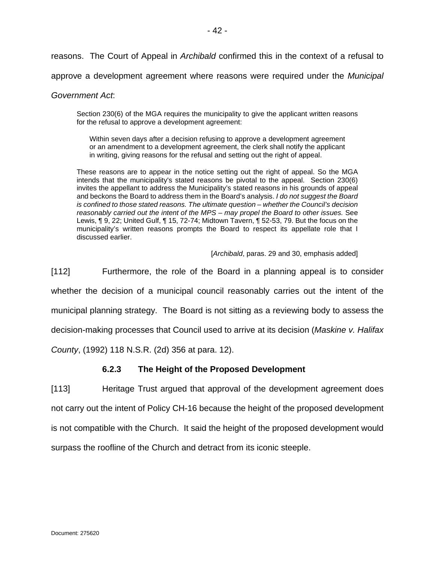reasons. The Court of Appeal in *Archibald* confirmed this in the context of a refusal to

approve a development agreement where reasons were required under the *Municipal* 

### *Government Act*:

Section 230(6) of the MGA requires the municipality to give the applicant written reasons for the refusal to approve a development agreement:

Within seven days after a decision refusing to approve a development agreement or an amendment to a development agreement, the clerk shall notify the applicant in writing, giving reasons for the refusal and setting out the right of appeal.

These reasons are to appear in the notice setting out the right of appeal. So the MGA intends that the municipality's stated reasons be pivotal to the appeal. Section 230(6) invites the appellant to address the Municipality's stated reasons in his grounds of appeal and beckons the Board to address them in the Board's analysis. *I do not suggest the Board is confined to those stated reasons. The ultimate question – whether the Council's decision reasonably carried out the intent of the MPS – may propel the Board to other issues.* See Lewis, ¶ 9, 22; United Gulf, ¶ 15, 72-74; Midtown Tavern, ¶ 52-53, 79. But the focus on the municipality's written reasons prompts the Board to respect its appellate role that I discussed earlier.

[*Archibald*, paras. 29 and 30, emphasis added]

[112] Furthermore, the role of the Board in a planning appeal is to consider whether the decision of a municipal council reasonably carries out the intent of the municipal planning strategy. The Board is not sitting as a reviewing body to assess the decision-making processes that Council used to arrive at its decision (*Maskine v. Halifax* 

*County*, (1992) 118 N.S.R. (2d) 356 at para. 12).

# **6.2.3 The Height of the Proposed Development**

[113] Heritage Trust argued that approval of the development agreement does not carry out the intent of Policy CH-16 because the height of the proposed development is not compatible with the Church. It said the height of the proposed development would surpass the roofline of the Church and detract from its iconic steeple.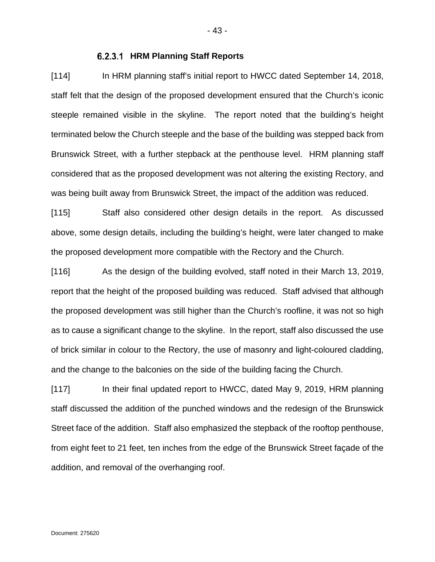### **HRM Planning Staff Reports**

[114] In HRM planning staff's initial report to HWCC dated September 14, 2018, staff felt that the design of the proposed development ensured that the Church's iconic steeple remained visible in the skyline. The report noted that the building's height terminated below the Church steeple and the base of the building was stepped back from Brunswick Street, with a further stepback at the penthouse level. HRM planning staff considered that as the proposed development was not altering the existing Rectory, and was being built away from Brunswick Street, the impact of the addition was reduced.

[115] Staff also considered other design details in the report. As discussed above, some design details, including the building's height, were later changed to make the proposed development more compatible with the Rectory and the Church.

[116] As the design of the building evolved, staff noted in their March 13, 2019, report that the height of the proposed building was reduced. Staff advised that although the proposed development was still higher than the Church's roofline, it was not so high as to cause a significant change to the skyline. In the report, staff also discussed the use of brick similar in colour to the Rectory, the use of masonry and light-coloured cladding, and the change to the balconies on the side of the building facing the Church.

[117] In their final updated report to HWCC, dated May 9, 2019, HRM planning staff discussed the addition of the punched windows and the redesign of the Brunswick Street face of the addition. Staff also emphasized the stepback of the rooftop penthouse, from eight feet to 21 feet, ten inches from the edge of the Brunswick Street façade of the addition, and removal of the overhanging roof.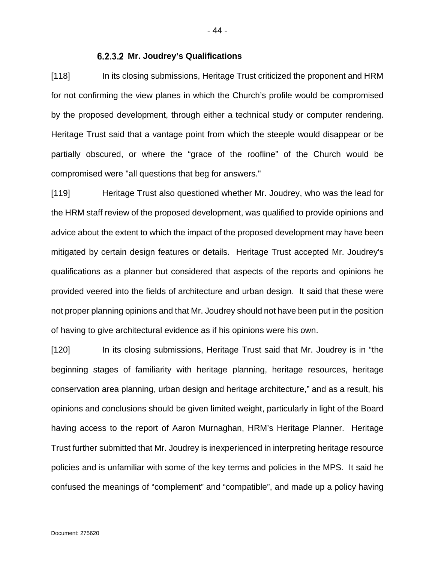# **Mr. Joudrey's Qualifications**

[118] In its closing submissions, Heritage Trust criticized the proponent and HRM for not confirming the view planes in which the Church's profile would be compromised by the proposed development, through either a technical study or computer rendering. Heritage Trust said that a vantage point from which the steeple would disappear or be partially obscured, or where the "grace of the roofline" of the Church would be compromised were "all questions that beg for answers."

[119] Heritage Trust also questioned whether Mr. Joudrey, who was the lead for the HRM staff review of the proposed development, was qualified to provide opinions and advice about the extent to which the impact of the proposed development may have been mitigated by certain design features or details. Heritage Trust accepted Mr. Joudrey's qualifications as a planner but considered that aspects of the reports and opinions he provided veered into the fields of architecture and urban design. It said that these were not proper planning opinions and that Mr. Joudrey should not have been put in the position of having to give architectural evidence as if his opinions were his own.

[120] In its closing submissions, Heritage Trust said that Mr. Joudrey is in "the beginning stages of familiarity with heritage planning, heritage resources, heritage conservation area planning, urban design and heritage architecture," and as a result, his opinions and conclusions should be given limited weight, particularly in light of the Board having access to the report of Aaron Murnaghan, HRM's Heritage Planner. Heritage Trust further submitted that Mr. Joudrey is inexperienced in interpreting heritage resource policies and is unfamiliar with some of the key terms and policies in the MPS. It said he confused the meanings of "complement" and "compatible", and made up a policy having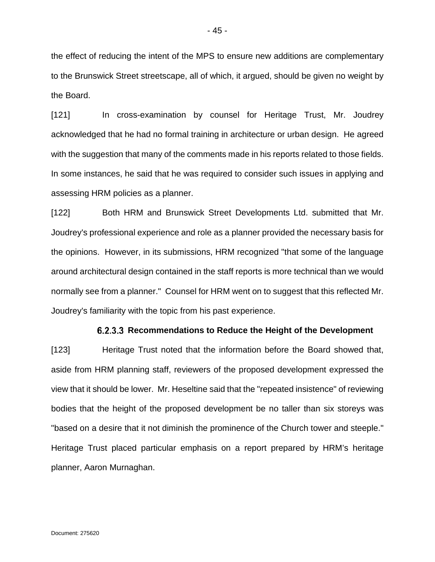the effect of reducing the intent of the MPS to ensure new additions are complementary to the Brunswick Street streetscape, all of which, it argued, should be given no weight by the Board.

[121] In cross-examination by counsel for Heritage Trust, Mr. Joudrey acknowledged that he had no formal training in architecture or urban design. He agreed with the suggestion that many of the comments made in his reports related to those fields. In some instances, he said that he was required to consider such issues in applying and assessing HRM policies as a planner.

[122] Both HRM and Brunswick Street Developments Ltd. submitted that Mr. Joudrey's professional experience and role as a planner provided the necessary basis for the opinions. However, in its submissions, HRM recognized "that some of the language around architectural design contained in the staff reports is more technical than we would normally see from a planner." Counsel for HRM went on to suggest that this reflected Mr. Joudrey's familiarity with the topic from his past experience.

#### **6.2.3.3 Recommendations to Reduce the Height of the Development**

[123] Heritage Trust noted that the information before the Board showed that, aside from HRM planning staff, reviewers of the proposed development expressed the view that it should be lower. Mr. Heseltine said that the "repeated insistence" of reviewing bodies that the height of the proposed development be no taller than six storeys was "based on a desire that it not diminish the prominence of the Church tower and steeple." Heritage Trust placed particular emphasis on a report prepared by HRM's heritage planner, Aaron Murnaghan.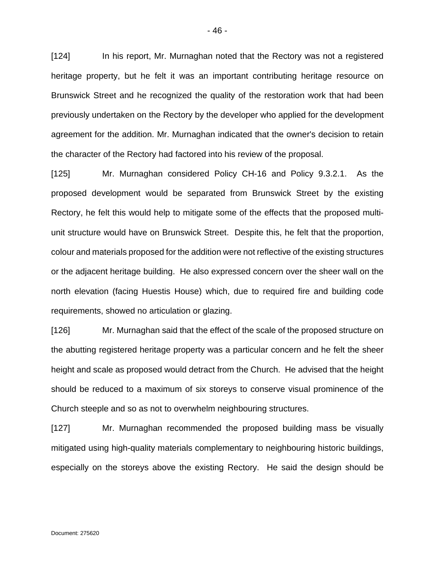[124] In his report, Mr. Murnaghan noted that the Rectory was not a registered heritage property, but he felt it was an important contributing heritage resource on Brunswick Street and he recognized the quality of the restoration work that had been previously undertaken on the Rectory by the developer who applied for the development agreement for the addition. Mr. Murnaghan indicated that the owner's decision to retain the character of the Rectory had factored into his review of the proposal.

[125] Mr. Murnaghan considered Policy CH-16 and Policy 9.3.2.1. As the proposed development would be separated from Brunswick Street by the existing Rectory, he felt this would help to mitigate some of the effects that the proposed multiunit structure would have on Brunswick Street. Despite this, he felt that the proportion, colour and materials proposed for the addition were not reflective of the existing structures or the adjacent heritage building. He also expressed concern over the sheer wall on the north elevation (facing Huestis House) which, due to required fire and building code requirements, showed no articulation or glazing.

[126] Mr. Murnaghan said that the effect of the scale of the proposed structure on the abutting registered heritage property was a particular concern and he felt the sheer height and scale as proposed would detract from the Church. He advised that the height should be reduced to a maximum of six storeys to conserve visual prominence of the Church steeple and so as not to overwhelm neighbouring structures.

[127] Mr. Murnaghan recommended the proposed building mass be visually mitigated using high-quality materials complementary to neighbouring historic buildings, especially on the storeys above the existing Rectory. He said the design should be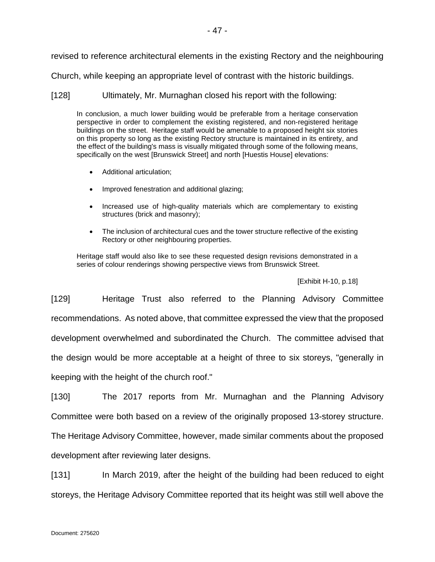revised to reference architectural elements in the existing Rectory and the neighbouring

Church, while keeping an appropriate level of contrast with the historic buildings.

[128] Ultimately, Mr. Murnaghan closed his report with the following:

In conclusion, a much lower building would be preferable from a heritage conservation perspective in order to complement the existing registered, and non-registered heritage buildings on the street. Heritage staff would be amenable to a proposed height six stories on this property so long as the existing Rectory structure is maintained in its entirety, and the effect of the building's mass is visually mitigated through some of the following means, specifically on the west [Brunswick Street] and north [Huestis House] elevations:

- Additional articulation;
- Improved fenestration and additional glazing;
- Increased use of high-quality materials which are complementary to existing structures (brick and masonry);
- The inclusion of architectural cues and the tower structure reflective of the existing Rectory or other neighbouring properties.

Heritage staff would also like to see these requested design revisions demonstrated in a series of colour renderings showing perspective views from Brunswick Street.

[Exhibit H-10, p.18]

[129] Heritage Trust also referred to the Planning Advisory Committee recommendations. As noted above, that committee expressed the view that the proposed development overwhelmed and subordinated the Church. The committee advised that the design would be more acceptable at a height of three to six storeys, "generally in keeping with the height of the church roof."

[130] The 2017 reports from Mr. Murnaghan and the Planning Advisory Committee were both based on a review of the originally proposed 13-storey structure. The Heritage Advisory Committee, however, made similar comments about the proposed development after reviewing later designs.

[131] In March 2019, after the height of the building had been reduced to eight storeys, the Heritage Advisory Committee reported that its height was still well above the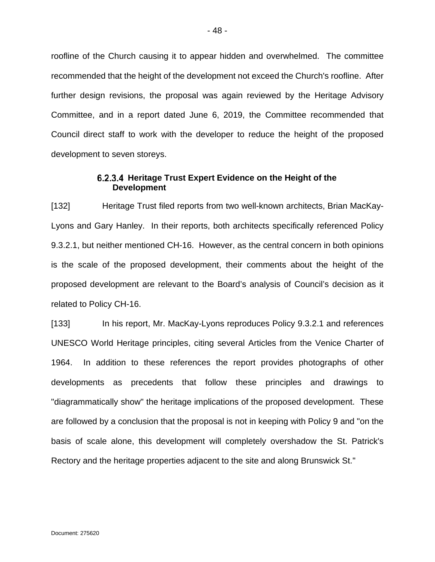roofline of the Church causing it to appear hidden and overwhelmed. The committee recommended that the height of the development not exceed the Church's roofline. After further design revisions, the proposal was again reviewed by the Heritage Advisory Committee, and in a report dated June 6, 2019, the Committee recommended that Council direct staff to work with the developer to reduce the height of the proposed development to seven storeys.

# **Heritage Trust Expert Evidence on the Height of the Development**

[132] Heritage Trust filed reports from two well-known architects, Brian MacKay-Lyons and Gary Hanley. In their reports, both architects specifically referenced Policy 9.3.2.1, but neither mentioned CH-16. However, as the central concern in both opinions is the scale of the proposed development, their comments about the height of the proposed development are relevant to the Board's analysis of Council's decision as it related to Policy CH-16.

[133] In his report, Mr. MacKay-Lyons reproduces Policy 9.3.2.1 and references UNESCO World Heritage principles, citing several Articles from the Venice Charter of 1964. In addition to these references the report provides photographs of other developments as precedents that follow these principles and drawings to "diagrammatically show" the heritage implications of the proposed development. These are followed by a conclusion that the proposal is not in keeping with Policy 9 and "on the basis of scale alone, this development will completely overshadow the St. Patrick's Rectory and the heritage properties adjacent to the site and along Brunswick St."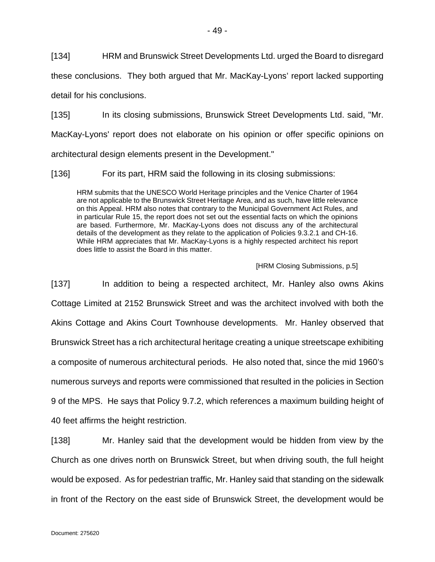[134] HRM and Brunswick Street Developments Ltd. urged the Board to disregard

these conclusions. They both argued that Mr. MacKay-Lyons' report lacked supporting

detail for his conclusions.

[135] In its closing submissions, Brunswick Street Developments Ltd. said, "Mr. MacKay-Lyons' report does not elaborate on his opinion or offer specific opinions on architectural design elements present in the Development."

[136] For its part, HRM said the following in its closing submissions:

HRM submits that the UNESCO World Heritage principles and the Venice Charter of 1964 are not applicable to the Brunswick Street Heritage Area, and as such, have little relevance on this Appeal. HRM also notes that contrary to the Municipal Government Act Rules, and in particular Rule 15, the report does not set out the essential facts on which the opinions are based. Furthermore, Mr. MacKay-Lyons does not discuss any of the architectural details of the development as they relate to the application of Policies 9.3.2.1 and CH-16. While HRM appreciates that Mr. MacKay-Lyons is a highly respected architect his report does little to assist the Board in this matter.

[HRM Closing Submissions, p.5]

[137] In addition to being a respected architect, Mr. Hanley also owns Akins Cottage Limited at 2152 Brunswick Street and was the architect involved with both the Akins Cottage and Akins Court Townhouse developments. Mr. Hanley observed that Brunswick Street has a rich architectural heritage creating a unique streetscape exhibiting a composite of numerous architectural periods. He also noted that, since the mid 1960's numerous surveys and reports were commissioned that resulted in the policies in Section 9 of the MPS. He says that Policy 9.7.2, which references a maximum building height of 40 feet affirms the height restriction.

[138] Mr. Hanley said that the development would be hidden from view by the Church as one drives north on Brunswick Street, but when driving south, the full height would be exposed. As for pedestrian traffic, Mr. Hanley said that standing on the sidewalk in front of the Rectory on the east side of Brunswick Street, the development would be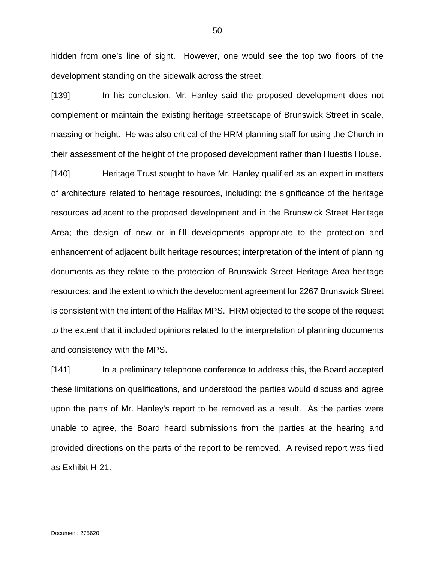hidden from one's line of sight. However, one would see the top two floors of the development standing on the sidewalk across the street.

[139] In his conclusion, Mr. Hanley said the proposed development does not complement or maintain the existing heritage streetscape of Brunswick Street in scale, massing or height. He was also critical of the HRM planning staff for using the Church in their assessment of the height of the proposed development rather than Huestis House.

[140] Heritage Trust sought to have Mr. Hanley qualified as an expert in matters of architecture related to heritage resources, including: the significance of the heritage resources adjacent to the proposed development and in the Brunswick Street Heritage Area; the design of new or in-fill developments appropriate to the protection and enhancement of adjacent built heritage resources; interpretation of the intent of planning documents as they relate to the protection of Brunswick Street Heritage Area heritage resources; and the extent to which the development agreement for 2267 Brunswick Street is consistent with the intent of the Halifax MPS. HRM objected to the scope of the request to the extent that it included opinions related to the interpretation of planning documents and consistency with the MPS.

[141] In a preliminary telephone conference to address this, the Board accepted these limitations on qualifications, and understood the parties would discuss and agree upon the parts of Mr. Hanley's report to be removed as a result. As the parties were unable to agree, the Board heard submissions from the parties at the hearing and provided directions on the parts of the report to be removed. A revised report was filed as Exhibit H-21.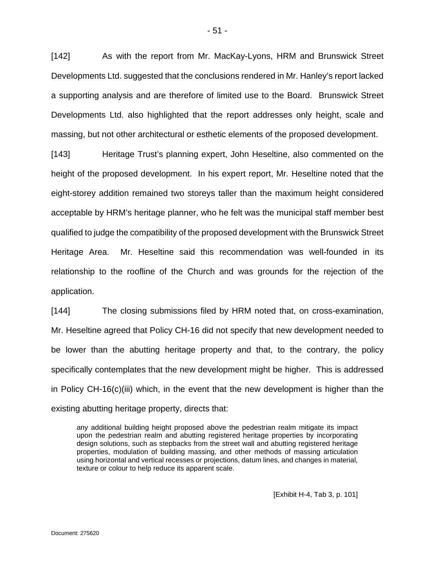[142] As with the report from Mr. MacKay-Lyons, HRM and Brunswick Street Developments Ltd. suggested that the conclusions rendered in Mr. Hanley's report lacked a supporting analysis and are therefore of limited use to the Board. Brunswick Street Developments Ltd. also highlighted that the report addresses only height, scale and massing, but not other architectural or esthetic elements of the proposed development.

[143] Heritage Trust's planning expert, John Heseltine, also commented on the height of the proposed development. In his expert report, Mr. Heseltine noted that the eight-storey addition remained two storeys taller than the maximum height considered acceptable by HRM's heritage planner, who he felt was the municipal staff member best qualified to judge the compatibility of the proposed development with the Brunswick Street Heritage Area. Mr. Heseltine said this recommendation was well-founded in its relationship to the roofline of the Church and was grounds for the rejection of the application.

[144] The closing submissions filed by HRM noted that, on cross-examination, Mr. Heseltine agreed that Policy CH-16 did not specify that new development needed to be lower than the abutting heritage property and that, to the contrary, the policy specifically contemplates that the new development might be higher. This is addressed in Policy CH-16(c)(iii) which, in the event that the new development is higher than the existing abutting heritage property, directs that:

any additional building height proposed above the pedestrian realm mitigate its impact upon the pedestrian realm and abutting registered heritage properties by incorporating design solutions, such as stepbacks from the street wall and abutting registered heritage properties, modulation of building massing, and other methods of massing articulation using horizontal and vertical recesses or projections, datum lines, and changes in material, texture or colour to help reduce its apparent scale.

[Exhibit H-4, Tab 3, p. 101]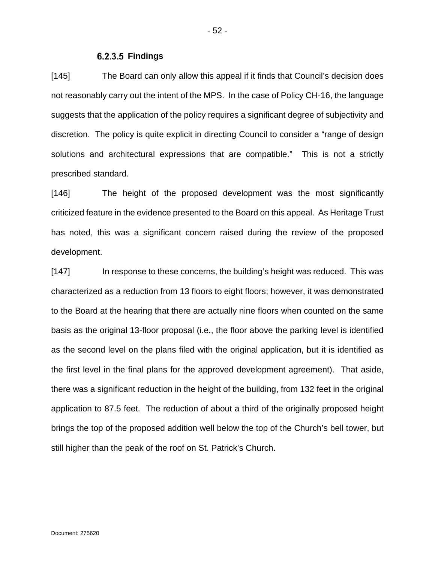### **Findings**

[145] The Board can only allow this appeal if it finds that Council's decision does not reasonably carry out the intent of the MPS. In the case of Policy CH-16, the language suggests that the application of the policy requires a significant degree of subjectivity and discretion. The policy is quite explicit in directing Council to consider a "range of design solutions and architectural expressions that are compatible." This is not a strictly prescribed standard.

[146] The height of the proposed development was the most significantly criticized feature in the evidence presented to the Board on this appeal. As Heritage Trust has noted, this was a significant concern raised during the review of the proposed development.

[147] In response to these concerns, the building's height was reduced. This was characterized as a reduction from 13 floors to eight floors; however, it was demonstrated to the Board at the hearing that there are actually nine floors when counted on the same basis as the original 13-floor proposal (i.e., the floor above the parking level is identified as the second level on the plans filed with the original application, but it is identified as the first level in the final plans for the approved development agreement). That aside, there was a significant reduction in the height of the building, from 132 feet in the original application to 87.5 feet. The reduction of about a third of the originally proposed height brings the top of the proposed addition well below the top of the Church's bell tower, but still higher than the peak of the roof on St. Patrick's Church.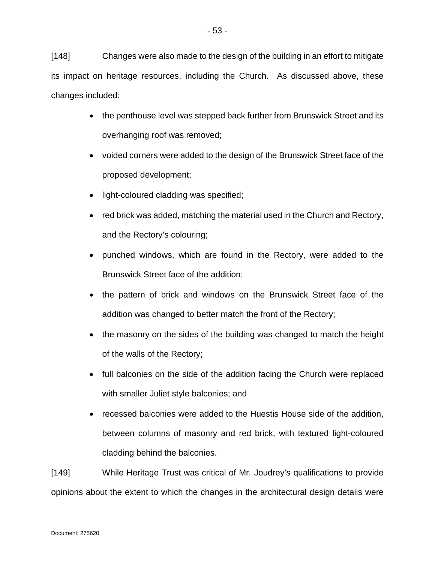[148] Changes were also made to the design of the building in an effort to mitigate its impact on heritage resources, including the Church. As discussed above, these changes included:

- the penthouse level was stepped back further from Brunswick Street and its overhanging roof was removed;
- voided corners were added to the design of the Brunswick Street face of the proposed development;
- light-coloured cladding was specified;
- red brick was added, matching the material used in the Church and Rectory, and the Rectory's colouring;
- punched windows, which are found in the Rectory, were added to the Brunswick Street face of the addition;
- the pattern of brick and windows on the Brunswick Street face of the addition was changed to better match the front of the Rectory;
- the masonry on the sides of the building was changed to match the height of the walls of the Rectory;
- full balconies on the side of the addition facing the Church were replaced with smaller Juliet style balconies; and
- recessed balconies were added to the Huestis House side of the addition, between columns of masonry and red brick, with textured light-coloured cladding behind the balconies.

[149] While Heritage Trust was critical of Mr. Joudrey's qualifications to provide opinions about the extent to which the changes in the architectural design details were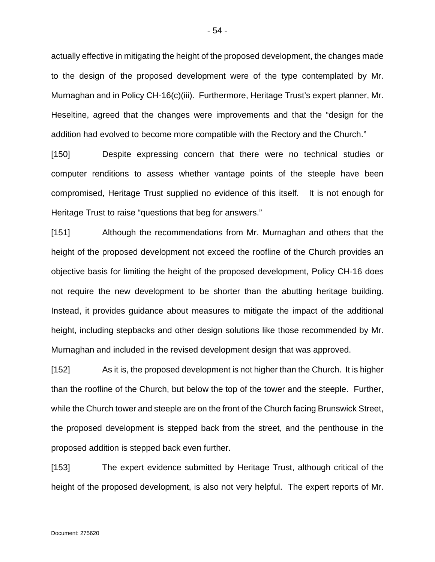actually effective in mitigating the height of the proposed development, the changes made to the design of the proposed development were of the type contemplated by Mr. Murnaghan and in Policy CH-16(c)(iii). Furthermore, Heritage Trust's expert planner, Mr. Heseltine, agreed that the changes were improvements and that the "design for the addition had evolved to become more compatible with the Rectory and the Church."

[150] Despite expressing concern that there were no technical studies or computer renditions to assess whether vantage points of the steeple have been compromised, Heritage Trust supplied no evidence of this itself. It is not enough for Heritage Trust to raise "questions that beg for answers."

[151] Although the recommendations from Mr. Murnaghan and others that the height of the proposed development not exceed the roofline of the Church provides an objective basis for limiting the height of the proposed development, Policy CH-16 does not require the new development to be shorter than the abutting heritage building. Instead, it provides guidance about measures to mitigate the impact of the additional height, including stepbacks and other design solutions like those recommended by Mr. Murnaghan and included in the revised development design that was approved.

[152] As it is, the proposed development is not higher than the Church. It is higher than the roofline of the Church, but below the top of the tower and the steeple. Further, while the Church tower and steeple are on the front of the Church facing Brunswick Street, the proposed development is stepped back from the street, and the penthouse in the proposed addition is stepped back even further.

[153] The expert evidence submitted by Heritage Trust, although critical of the height of the proposed development, is also not very helpful. The expert reports of Mr.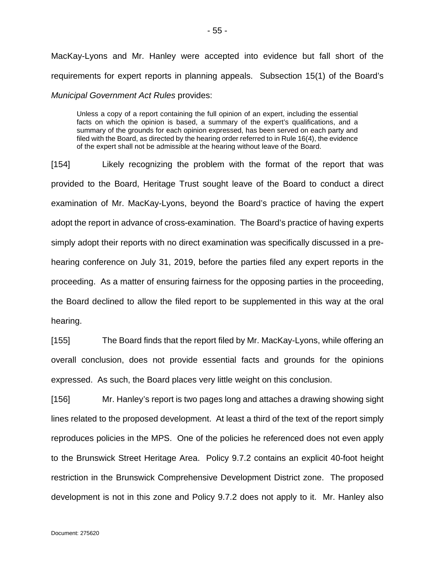MacKay-Lyons and Mr. Hanley were accepted into evidence but fall short of the requirements for expert reports in planning appeals. Subsection 15(1) of the Board's *Municipal Government Act Rules* provides:

Unless a copy of a report containing the full opinion of an expert, including the essential facts on which the opinion is based, a summary of the expert's qualifications, and a summary of the grounds for each opinion expressed, has been served on each party and filed with the Board, as directed by the hearing order referred to in Rule 16(4), the evidence of the expert shall not be admissible at the hearing without leave of the Board.

[154] Likely recognizing the problem with the format of the report that was provided to the Board, Heritage Trust sought leave of the Board to conduct a direct examination of Mr. MacKay-Lyons, beyond the Board's practice of having the expert adopt the report in advance of cross-examination. The Board's practice of having experts simply adopt their reports with no direct examination was specifically discussed in a prehearing conference on July 31, 2019, before the parties filed any expert reports in the proceeding. As a matter of ensuring fairness for the opposing parties in the proceeding, the Board declined to allow the filed report to be supplemented in this way at the oral hearing.

[155] The Board finds that the report filed by Mr. MacKay-Lyons, while offering an overall conclusion, does not provide essential facts and grounds for the opinions expressed. As such, the Board places very little weight on this conclusion.

[156] Mr. Hanley's report is two pages long and attaches a drawing showing sight lines related to the proposed development. At least a third of the text of the report simply reproduces policies in the MPS. One of the policies he referenced does not even apply to the Brunswick Street Heritage Area. Policy 9.7.2 contains an explicit 40-foot height restriction in the Brunswick Comprehensive Development District zone. The proposed development is not in this zone and Policy 9.7.2 does not apply to it. Mr. Hanley also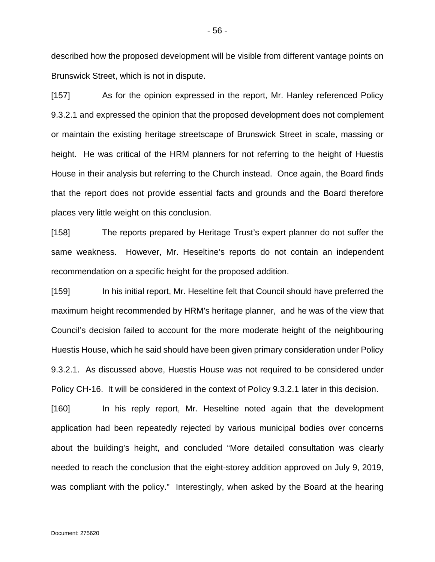described how the proposed development will be visible from different vantage points on Brunswick Street, which is not in dispute.

[157] As for the opinion expressed in the report, Mr. Hanley referenced Policy 9.3.2.1 and expressed the opinion that the proposed development does not complement or maintain the existing heritage streetscape of Brunswick Street in scale, massing or height. He was critical of the HRM planners for not referring to the height of Huestis House in their analysis but referring to the Church instead. Once again, the Board finds that the report does not provide essential facts and grounds and the Board therefore places very little weight on this conclusion.

[158] The reports prepared by Heritage Trust's expert planner do not suffer the same weakness. However, Mr. Heseltine's reports do not contain an independent recommendation on a specific height for the proposed addition.

[159] In his initial report, Mr. Heseltine felt that Council should have preferred the maximum height recommended by HRM's heritage planner, and he was of the view that Council's decision failed to account for the more moderate height of the neighbouring Huestis House, which he said should have been given primary consideration under Policy 9.3.2.1. As discussed above, Huestis House was not required to be considered under Policy CH-16. It will be considered in the context of Policy 9.3.2.1 later in this decision.

[160] In his reply report, Mr. Heseltine noted again that the development application had been repeatedly rejected by various municipal bodies over concerns about the building's height, and concluded "More detailed consultation was clearly needed to reach the conclusion that the eight-storey addition approved on July 9, 2019, was compliant with the policy." Interestingly, when asked by the Board at the hearing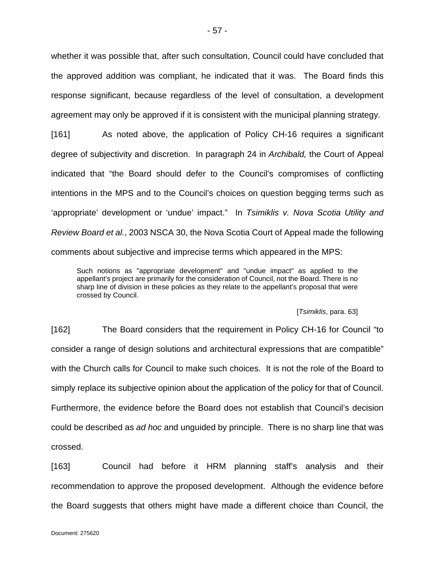whether it was possible that, after such consultation, Council could have concluded that the approved addition was compliant, he indicated that it was. The Board finds this response significant, because regardless of the level of consultation, a development agreement may only be approved if it is consistent with the municipal planning strategy.

[161] As noted above, the application of Policy CH-16 requires a significant degree of subjectivity and discretion. In paragraph 24 in *Archibald,* the Court of Appeal indicated that "the Board should defer to the Council's compromises of conflicting intentions in the MPS and to the Council's choices on question begging terms such as 'appropriate' development or 'undue' impact." In *Tsimiklis v. Nova Scotia Utility and Review Board et al.*, 2003 NSCA 30, the Nova Scotia Court of Appeal made the following comments about subjective and imprecise terms which appeared in the MPS:

Such notions as "appropriate development" and "undue impact" as applied to the appellant's project are primarily for the consideration of Council, not the Board. There is no sharp line of division in these policies as they relate to the appellant's proposal that were crossed by Council.

#### [*Tsimiklis*, para. 63]

[162] The Board considers that the requirement in Policy CH-16 for Council "to consider a range of design solutions and architectural expressions that are compatible" with the Church calls for Council to make such choices. It is not the role of the Board to simply replace its subjective opinion about the application of the policy for that of Council. Furthermore, the evidence before the Board does not establish that Council's decision could be described as *ad hoc* and unguided by principle. There is no sharp line that was crossed.

[163] Council had before it HRM planning staff's analysis and their recommendation to approve the proposed development. Although the evidence before the Board suggests that others might have made a different choice than Council, the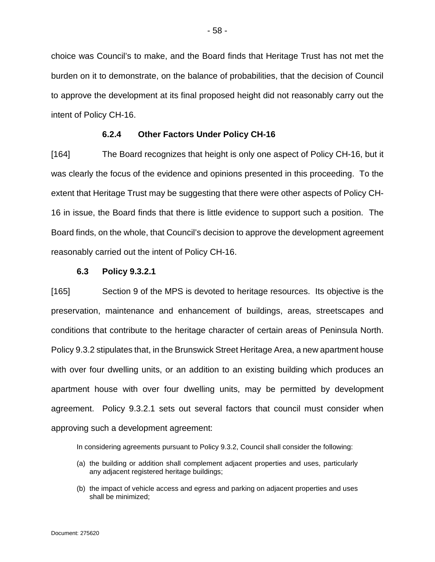choice was Council's to make, and the Board finds that Heritage Trust has not met the burden on it to demonstrate, on the balance of probabilities, that the decision of Council to approve the development at its final proposed height did not reasonably carry out the intent of Policy CH-16.

# **6.2.4 Other Factors Under Policy CH-16**

[164] The Board recognizes that height is only one aspect of Policy CH-16, but it was clearly the focus of the evidence and opinions presented in this proceeding. To the extent that Heritage Trust may be suggesting that there were other aspects of Policy CH-16 in issue, the Board finds that there is little evidence to support such a position. The Board finds, on the whole, that Council's decision to approve the development agreement reasonably carried out the intent of Policy CH-16.

### **6.3 Policy 9.3.2.1**

[165] Section 9 of the MPS is devoted to heritage resources. Its objective is the preservation, maintenance and enhancement of buildings, areas, streetscapes and conditions that contribute to the heritage character of certain areas of Peninsula North. Policy 9.3.2 stipulates that, in the Brunswick Street Heritage Area, a new apartment house with over four dwelling units, or an addition to an existing building which produces an apartment house with over four dwelling units, may be permitted by development agreement. Policy 9.3.2.1 sets out several factors that council must consider when approving such a development agreement:

In considering agreements pursuant to Policy 9.3.2, Council shall consider the following:

- (a) the building or addition shall complement adjacent properties and uses, particularly any adjacent registered heritage buildings;
- (b) the impact of vehicle access and egress and parking on adjacent properties and uses shall be minimized;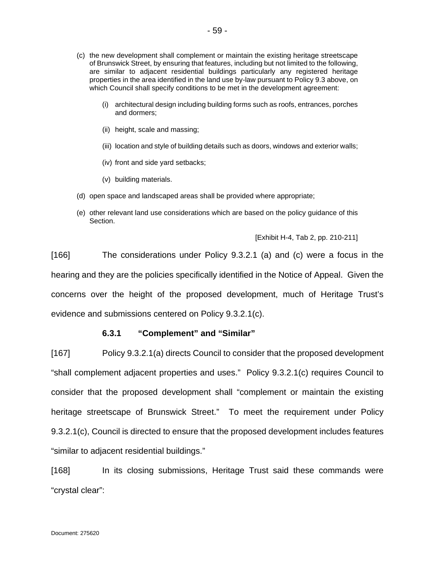- (c) the new development shall complement or maintain the existing heritage streetscape of Brunswick Street, by ensuring that features, including but not limited to the following, are similar to adjacent residential buildings particularly any registered heritage properties in the area identified in the land use by-law pursuant to Policy 9.3 above, on which Council shall specify conditions to be met in the development agreement:
	- (i) architectural design including building forms such as roofs, entrances, porches and dormers;
	- (ii) height, scale and massing;
	- (iii) location and style of building details such as doors, windows and exterior walls;
	- (iv) front and side yard setbacks;
	- (v) building materials.
- (d) open space and landscaped areas shall be provided where appropriate;
- (e) other relevant land use considerations which are based on the policy guidance of this Section.

[Exhibit H-4, Tab 2, pp. 210-211]

[166] The considerations under Policy 9.3.2.1 (a) and (c) were a focus in the hearing and they are the policies specifically identified in the Notice of Appeal. Given the concerns over the height of the proposed development, much of Heritage Trust's evidence and submissions centered on Policy 9.3.2.1(c).

# **6.3.1 "Complement" and "Similar"**

[167] Policy 9.3.2.1(a) directs Council to consider that the proposed development "shall complement adjacent properties and uses." Policy 9.3.2.1(c) requires Council to consider that the proposed development shall "complement or maintain the existing heritage streetscape of Brunswick Street." To meet the requirement under Policy 9.3.2.1(c), Council is directed to ensure that the proposed development includes features "similar to adjacent residential buildings."

[168] In its closing submissions, Heritage Trust said these commands were "crystal clear":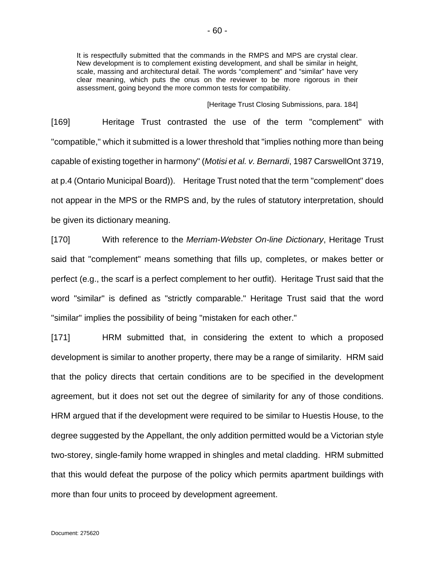It is respectfully submitted that the commands in the RMPS and MPS are crystal clear. New development is to complement existing development, and shall be similar in height, scale, massing and architectural detail. The words "complement" and "similar" have very clear meaning, which puts the onus on the reviewer to be more rigorous in their assessment, going beyond the more common tests for compatibility.

[Heritage Trust Closing Submissions, para. 184]

[169] Heritage Trust contrasted the use of the term "complement" with "compatible," which it submitted is a lower threshold that "implies nothing more than being capable of existing together in harmony" (*Motisi et al. v. Bernardi*, 1987 CarswellOnt 3719, at p.4 (Ontario Municipal Board)). Heritage Trust noted that the term "complement" does not appear in the MPS or the RMPS and, by the rules of statutory interpretation, should be given its dictionary meaning.

[170] With reference to the *Merriam-Webster On-line Dictionary*, Heritage Trust said that "complement" means something that fills up, completes, or makes better or perfect (e.g., the scarf is a perfect complement to her outfit). Heritage Trust said that the word "similar" is defined as "strictly comparable." Heritage Trust said that the word "similar" implies the possibility of being "mistaken for each other."

[171] HRM submitted that, in considering the extent to which a proposed development is similar to another property, there may be a range of similarity. HRM said that the policy directs that certain conditions are to be specified in the development agreement, but it does not set out the degree of similarity for any of those conditions. HRM argued that if the development were required to be similar to Huestis House, to the degree suggested by the Appellant, the only addition permitted would be a Victorian style two-storey, single-family home wrapped in shingles and metal cladding. HRM submitted that this would defeat the purpose of the policy which permits apartment buildings with more than four units to proceed by development agreement.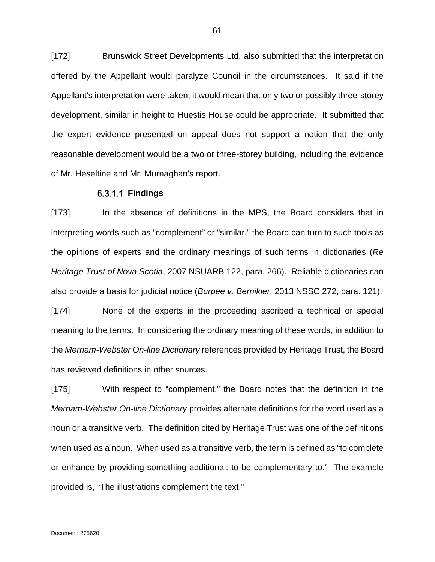[172] Brunswick Street Developments Ltd. also submitted that the interpretation offered by the Appellant would paralyze Council in the circumstances. It said if the Appellant's interpretation were taken, it would mean that only two or possibly three-storey development, similar in height to Huestis House could be appropriate. It submitted that the expert evidence presented on appeal does not support a notion that the only reasonable development would be a two or three-storey building, including the evidence of Mr. Heseltine and Mr. Murnaghan's report.

### **Findings**

[173] In the absence of definitions in the MPS, the Board considers that in interpreting words such as "complement" or "similar," the Board can turn to such tools as the opinions of experts and the ordinary meanings of such terms in dictionaries (*Re Heritage Trust of Nova Scotia*, 2007 NSUARB 122, para. 266). Reliable dictionaries can also provide a basis for judicial notice (*Burpee v. Bernikier*, 2013 NSSC 272, para. 121).

[174] None of the experts in the proceeding ascribed a technical or special meaning to the terms. In considering the ordinary meaning of these words, in addition to the *Merriam-Webster On-line Dictionary* references provided by Heritage Trust, the Board has reviewed definitions in other sources.

[175] With respect to "complement," the Board notes that the definition in the *Merriam-Webster On-line Dictionary* provides alternate definitions for the word used as a noun or a transitive verb. The definition cited by Heritage Trust was one of the definitions when used as a noun. When used as a transitive verb, the term is defined as "to complete or enhance by providing something additional: to be complementary to." The example provided is, "The illustrations complement the text."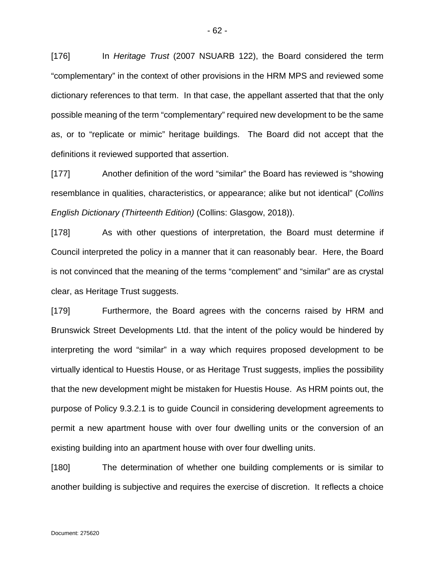[176] In *Heritage Trust* (2007 NSUARB 122), the Board considered the term "complementary" in the context of other provisions in the HRM MPS and reviewed some dictionary references to that term. In that case, the appellant asserted that that the only possible meaning of the term "complementary" required new development to be the same as, or to "replicate or mimic" heritage buildings. The Board did not accept that the definitions it reviewed supported that assertion.

[177] Another definition of the word "similar" the Board has reviewed is "showing resemblance in qualities, characteristics, or appearance; alike but not identical" (*Collins English Dictionary (Thirteenth Edition)* (Collins: Glasgow, 2018)).

[178] As with other questions of interpretation, the Board must determine if Council interpreted the policy in a manner that it can reasonably bear. Here, the Board is not convinced that the meaning of the terms "complement" and "similar" are as crystal clear, as Heritage Trust suggests.

[179] Furthermore, the Board agrees with the concerns raised by HRM and Brunswick Street Developments Ltd. that the intent of the policy would be hindered by interpreting the word "similar" in a way which requires proposed development to be virtually identical to Huestis House, or as Heritage Trust suggests, implies the possibility that the new development might be mistaken for Huestis House. As HRM points out, the purpose of Policy 9.3.2.1 is to guide Council in considering development agreements to permit a new apartment house with over four dwelling units or the conversion of an existing building into an apartment house with over four dwelling units.

[180] The determination of whether one building complements or is similar to another building is subjective and requires the exercise of discretion. It reflects a choice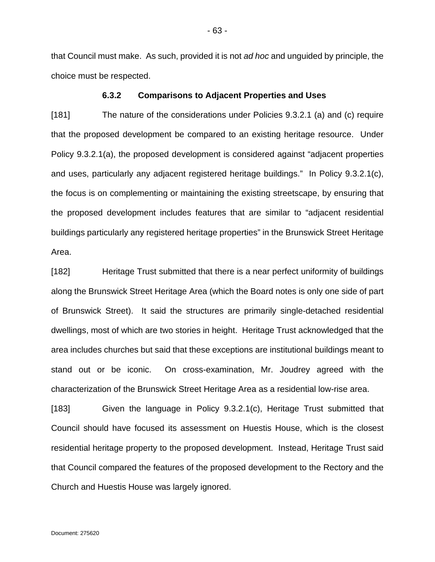that Council must make. As such, provided it is not *ad hoc* and unguided by principle, the choice must be respected.

### **6.3.2 Comparisons to Adjacent Properties and Uses**

[181] The nature of the considerations under Policies 9.3.2.1 (a) and (c) require that the proposed development be compared to an existing heritage resource. Under Policy 9.3.2.1(a), the proposed development is considered against "adjacent properties and uses, particularly any adjacent registered heritage buildings." In Policy 9.3.2.1(c), the focus is on complementing or maintaining the existing streetscape, by ensuring that the proposed development includes features that are similar to "adjacent residential buildings particularly any registered heritage properties" in the Brunswick Street Heritage Area.

[182] Heritage Trust submitted that there is a near perfect uniformity of buildings along the Brunswick Street Heritage Area (which the Board notes is only one side of part of Brunswick Street). It said the structures are primarily single-detached residential dwellings, most of which are two stories in height. Heritage Trust acknowledged that the area includes churches but said that these exceptions are institutional buildings meant to stand out or be iconic. On cross-examination, Mr. Joudrey agreed with the characterization of the Brunswick Street Heritage Area as a residential low-rise area.

[183] Given the language in Policy 9.3.2.1(c), Heritage Trust submitted that Council should have focused its assessment on Huestis House, which is the closest residential heritage property to the proposed development. Instead, Heritage Trust said that Council compared the features of the proposed development to the Rectory and the Church and Huestis House was largely ignored.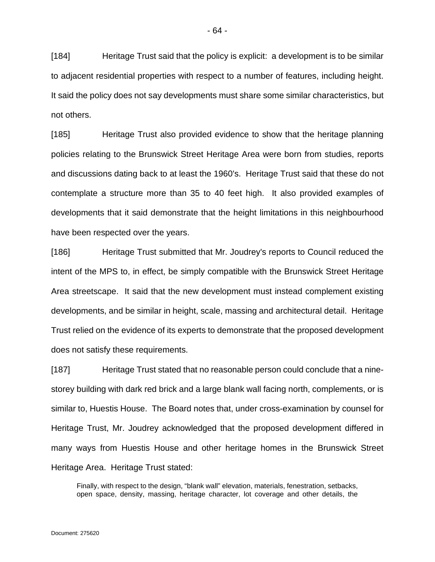[184] Heritage Trust said that the policy is explicit: a development is to be similar to adjacent residential properties with respect to a number of features, including height. It said the policy does not say developments must share some similar characteristics, but not others.

[185] Heritage Trust also provided evidence to show that the heritage planning policies relating to the Brunswick Street Heritage Area were born from studies, reports and discussions dating back to at least the 1960's. Heritage Trust said that these do not contemplate a structure more than 35 to 40 feet high. It also provided examples of developments that it said demonstrate that the height limitations in this neighbourhood have been respected over the years.

[186] Heritage Trust submitted that Mr. Joudrey's reports to Council reduced the intent of the MPS to, in effect, be simply compatible with the Brunswick Street Heritage Area streetscape. It said that the new development must instead complement existing developments, and be similar in height, scale, massing and architectural detail. Heritage Trust relied on the evidence of its experts to demonstrate that the proposed development does not satisfy these requirements.

[187] Heritage Trust stated that no reasonable person could conclude that a ninestorey building with dark red brick and a large blank wall facing north, complements, or is similar to, Huestis House. The Board notes that, under cross-examination by counsel for Heritage Trust, Mr. Joudrey acknowledged that the proposed development differed in many ways from Huestis House and other heritage homes in the Brunswick Street Heritage Area. Heritage Trust stated:

Finally, with respect to the design, "blank wall" elevation, materials, fenestration, setbacks, open space, density, massing, heritage character, lot coverage and other details, the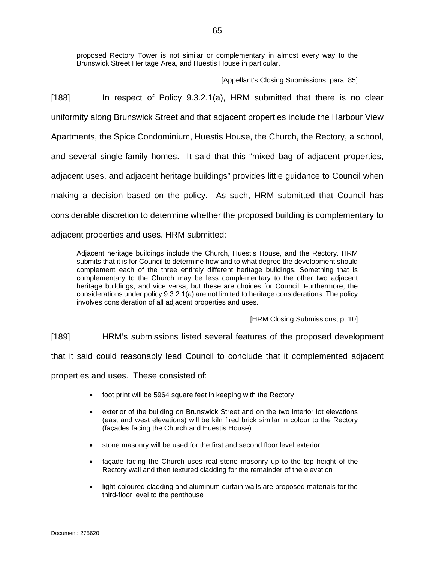proposed Rectory Tower is not similar or complementary in almost every way to the Brunswick Street Heritage Area, and Huestis House in particular.

[Appellant's Closing Submissions, para. 85]

[188] In respect of Policy 9.3.2.1(a), HRM submitted that there is no clear uniformity along Brunswick Street and that adjacent properties include the Harbour View Apartments, the Spice Condominium, Huestis House, the Church, the Rectory, a school, and several single-family homes. It said that this "mixed bag of adjacent properties, adjacent uses, and adjacent heritage buildings" provides little guidance to Council when making a decision based on the policy. As such, HRM submitted that Council has considerable discretion to determine whether the proposed building is complementary to

adjacent properties and uses. HRM submitted:

Adjacent heritage buildings include the Church, Huestis House, and the Rectory. HRM submits that it is for Council to determine how and to what degree the development should complement each of the three entirely different heritage buildings. Something that is complementary to the Church may be less complementary to the other two adjacent heritage buildings, and vice versa, but these are choices for Council. Furthermore, the considerations under policy 9.3.2.1(a) are not limited to heritage considerations. The policy involves consideration of all adjacent properties and uses.

[HRM Closing Submissions, p. 10]

[189] HRM's submissions listed several features of the proposed development

that it said could reasonably lead Council to conclude that it complemented adjacent

properties and uses. These consisted of:

- foot print will be 5964 square feet in keeping with the Rectory
- exterior of the building on Brunswick Street and on the two interior lot elevations (east and west elevations) will be kiln fired brick similar in colour to the Rectory (façades facing the Church and Huestis House)
- stone masonry will be used for the first and second floor level exterior
- facade facing the Church uses real stone masonry up to the top height of the Rectory wall and then textured cladding for the remainder of the elevation
- light-coloured cladding and aluminum curtain walls are proposed materials for the third-floor level to the penthouse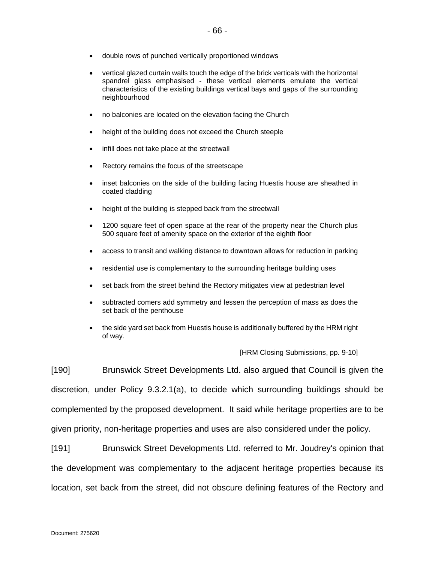- double rows of punched vertically proportioned windows
- vertical glazed curtain walls touch the edge of the brick verticals with the horizontal spandrel glass emphasised - these vertical elements emulate the vertical characteristics of the existing buildings vertical bays and gaps of the surrounding neighbourhood
- no balconies are located on the elevation facing the Church
- height of the building does not exceed the Church steeple
- infill does not take place at the streetwall
- Rectory remains the focus of the streetscape
- inset balconies on the side of the building facing Huestis house are sheathed in coated cladding
- height of the building is stepped back from the streetwall
- 1200 square feet of open space at the rear of the property near the Church plus 500 square feet of amenity space on the exterior of the eighth floor
- access to transit and walking distance to downtown allows for reduction in parking
- residential use is complementary to the surrounding heritage building uses
- set back from the street behind the Rectory mitigates view at pedestrian level
- subtracted comers add symmetry and lessen the perception of mass as does the set back of the penthouse
- the side yard set back from Huestis house is additionally buffered by the HRM right of way.

[HRM Closing Submissions, pp. 9-10]

[190] Brunswick Street Developments Ltd. also argued that Council is given the discretion, under Policy 9.3.2.1(a), to decide which surrounding buildings should be complemented by the proposed development. It said while heritage properties are to be given priority, non-heritage properties and uses are also considered under the policy.

[191] Brunswick Street Developments Ltd. referred to Mr. Joudrey's opinion that the development was complementary to the adjacent heritage properties because its location, set back from the street, did not obscure defining features of the Rectory and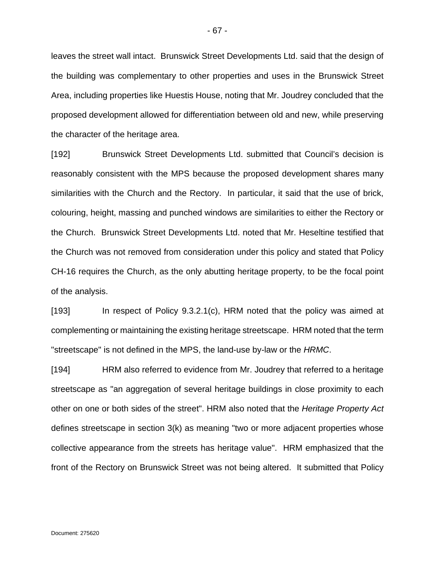leaves the street wall intact. Brunswick Street Developments Ltd. said that the design of the building was complementary to other properties and uses in the Brunswick Street Area, including properties like Huestis House, noting that Mr. Joudrey concluded that the proposed development allowed for differentiation between old and new, while preserving the character of the heritage area.

[192] Brunswick Street Developments Ltd. submitted that Council's decision is reasonably consistent with the MPS because the proposed development shares many similarities with the Church and the Rectory. In particular, it said that the use of brick, colouring, height, massing and punched windows are similarities to either the Rectory or the Church. Brunswick Street Developments Ltd. noted that Mr. Heseltine testified that the Church was not removed from consideration under this policy and stated that Policy CH-16 requires the Church, as the only abutting heritage property, to be the focal point of the analysis.

[193] In respect of Policy 9.3.2.1(c), HRM noted that the policy was aimed at complementing or maintaining the existing heritage streetscape. HRM noted that the term "streetscape" is not defined in the MPS, the land-use by-law or the *HRMC*.

[194] HRM also referred to evidence from Mr. Joudrey that referred to a heritage streetscape as "an aggregation of several heritage buildings in close proximity to each other on one or both sides of the street". HRM also noted that the *Heritage Property Act* defines streetscape in section 3(k) as meaning "two or more adjacent properties whose collective appearance from the streets has heritage value". HRM emphasized that the front of the Rectory on Brunswick Street was not being altered. It submitted that Policy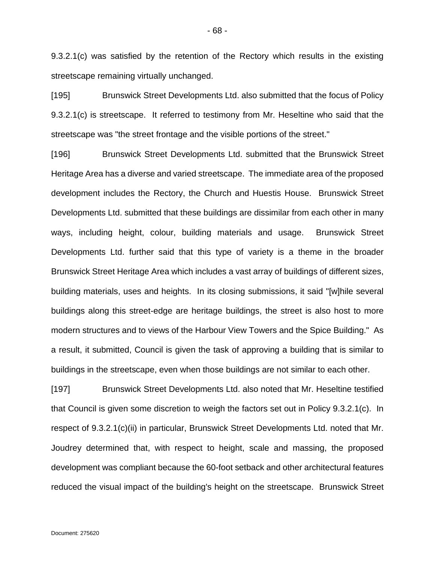9.3.2.1(c) was satisfied by the retention of the Rectory which results in the existing streetscape remaining virtually unchanged.

[195] Brunswick Street Developments Ltd. also submitted that the focus of Policy 9.3.2.1(c) is streetscape. It referred to testimony from Mr. Heseltine who said that the streetscape was "the street frontage and the visible portions of the street."

[196] Brunswick Street Developments Ltd. submitted that the Brunswick Street Heritage Area has a diverse and varied streetscape. The immediate area of the proposed development includes the Rectory, the Church and Huestis House. Brunswick Street Developments Ltd. submitted that these buildings are dissimilar from each other in many ways, including height, colour, building materials and usage. Brunswick Street Developments Ltd. further said that this type of variety is a theme in the broader Brunswick Street Heritage Area which includes a vast array of buildings of different sizes, building materials, uses and heights. In its closing submissions, it said "[w]hile several buildings along this street-edge are heritage buildings, the street is also host to more modern structures and to views of the Harbour View Towers and the Spice Building." As a result, it submitted, Council is given the task of approving a building that is similar to buildings in the streetscape, even when those buildings are not similar to each other.

[197] Brunswick Street Developments Ltd. also noted that Mr. Heseltine testified that Council is given some discretion to weigh the factors set out in Policy 9.3.2.1(c). In respect of 9.3.2.1(c)(ii) in particular, Brunswick Street Developments Ltd. noted that Mr. Joudrey determined that, with respect to height, scale and massing, the proposed development was compliant because the 60-foot setback and other architectural features reduced the visual impact of the building's height on the streetscape. Brunswick Street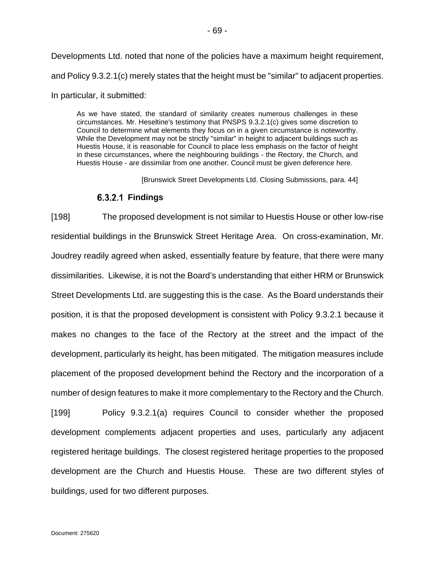Developments Ltd. noted that none of the policies have a maximum height requirement, and Policy 9.3.2.1(c) merely states that the height must be "similar" to adjacent properties.

In particular, it submitted:

As we have stated, the standard of similarity creates numerous challenges in these circumstances. Mr. Heseltine's testimony that PNSPS 9.3.2.1(c) gives some discretion to Council to determine what elements they focus on in a given circumstance is noteworthy. While the Development may not be strictly "similar" in height to adjacent buildings such as Huestis House, it is reasonable for Council to place less emphasis on the factor of height in these circumstances, where the neighbouring buildings - the Rectory, the Church, and Huestis House - are dissimilar from one another. Council must be given deference here.

[Brunswick Street Developments Ltd. Closing Submissions, para. 44]

# **Findings**

[198] The proposed development is not similar to Huestis House or other low-rise residential buildings in the Brunswick Street Heritage Area. On cross-examination, Mr. Joudrey readily agreed when asked, essentially feature by feature, that there were many dissimilarities. Likewise, it is not the Board's understanding that either HRM or Brunswick Street Developments Ltd. are suggesting this is the case. As the Board understands their position, it is that the proposed development is consistent with Policy 9.3.2.1 because it makes no changes to the face of the Rectory at the street and the impact of the development, particularly its height, has been mitigated. The mitigation measures include placement of the proposed development behind the Rectory and the incorporation of a number of design features to make it more complementary to the Rectory and the Church.

[199] Policy 9.3.2.1(a) requires Council to consider whether the proposed development complements adjacent properties and uses, particularly any adjacent registered heritage buildings. The closest registered heritage properties to the proposed development are the Church and Huestis House. These are two different styles of buildings, used for two different purposes.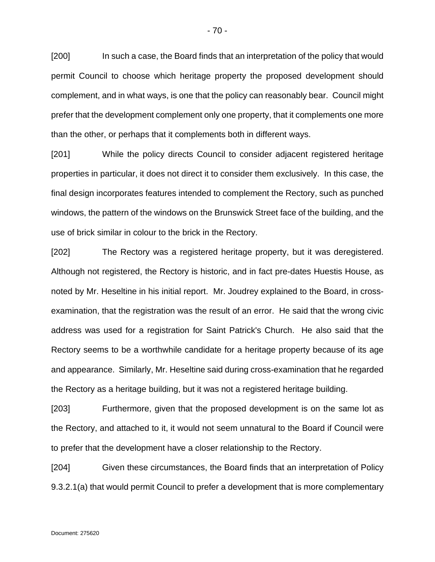[200] In such a case, the Board finds that an interpretation of the policy that would permit Council to choose which heritage property the proposed development should complement, and in what ways, is one that the policy can reasonably bear. Council might prefer that the development complement only one property, that it complements one more than the other, or perhaps that it complements both in different ways.

[201] While the policy directs Council to consider adjacent registered heritage properties in particular, it does not direct it to consider them exclusively. In this case, the final design incorporates features intended to complement the Rectory, such as punched windows, the pattern of the windows on the Brunswick Street face of the building, and the use of brick similar in colour to the brick in the Rectory.

[202] The Rectory was a registered heritage property, but it was deregistered. Although not registered, the Rectory is historic, and in fact pre-dates Huestis House, as noted by Mr. Heseltine in his initial report. Mr. Joudrey explained to the Board, in crossexamination, that the registration was the result of an error. He said that the wrong civic address was used for a registration for Saint Patrick's Church. He also said that the Rectory seems to be a worthwhile candidate for a heritage property because of its age and appearance. Similarly, Mr. Heseltine said during cross-examination that he regarded the Rectory as a heritage building, but it was not a registered heritage building.

[203] Furthermore, given that the proposed development is on the same lot as the Rectory, and attached to it, it would not seem unnatural to the Board if Council were to prefer that the development have a closer relationship to the Rectory.

[204] Given these circumstances, the Board finds that an interpretation of Policy 9.3.2.1(a) that would permit Council to prefer a development that is more complementary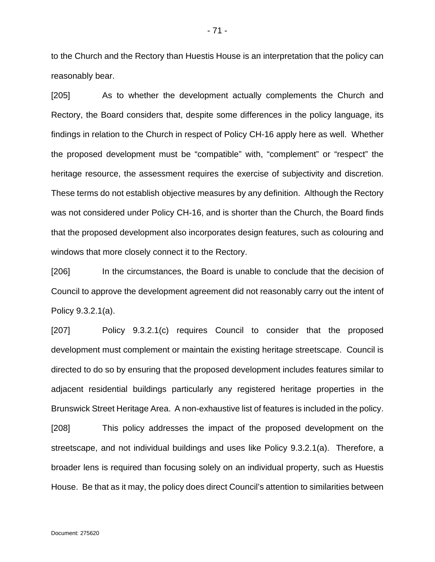to the Church and the Rectory than Huestis House is an interpretation that the policy can reasonably bear.

[205] As to whether the development actually complements the Church and Rectory, the Board considers that, despite some differences in the policy language, its findings in relation to the Church in respect of Policy CH-16 apply here as well. Whether the proposed development must be "compatible" with, "complement" or "respect" the heritage resource, the assessment requires the exercise of subjectivity and discretion. These terms do not establish objective measures by any definition. Although the Rectory was not considered under Policy CH-16, and is shorter than the Church, the Board finds that the proposed development also incorporates design features, such as colouring and windows that more closely connect it to the Rectory.

[206] In the circumstances, the Board is unable to conclude that the decision of Council to approve the development agreement did not reasonably carry out the intent of Policy 9.3.2.1(a).

[207] Policy 9.3.2.1(c) requires Council to consider that the proposed development must complement or maintain the existing heritage streetscape. Council is directed to do so by ensuring that the proposed development includes features similar to adjacent residential buildings particularly any registered heritage properties in the Brunswick Street Heritage Area. A non-exhaustive list of features is included in the policy.

[208] This policy addresses the impact of the proposed development on the streetscape, and not individual buildings and uses like Policy 9.3.2.1(a). Therefore, a broader lens is required than focusing solely on an individual property, such as Huestis House. Be that as it may, the policy does direct Council's attention to similarities between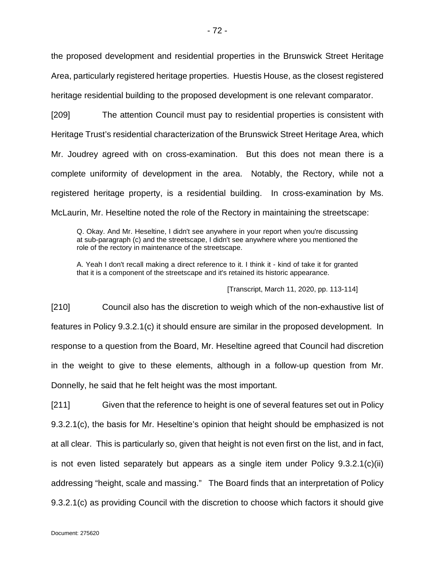the proposed development and residential properties in the Brunswick Street Heritage Area, particularly registered heritage properties. Huestis House, as the closest registered heritage residential building to the proposed development is one relevant comparator.

[209] The attention Council must pay to residential properties is consistent with Heritage Trust's residential characterization of the Brunswick Street Heritage Area, which Mr. Joudrey agreed with on cross-examination. But this does not mean there is a complete uniformity of development in the area. Notably, the Rectory, while not a registered heritage property, is a residential building. In cross-examination by Ms. McLaurin, Mr. Heseltine noted the role of the Rectory in maintaining the streetscape:

Q. Okay. And Mr. Heseltine, I didn't see anywhere in your report when you're discussing at sub-paragraph (c) and the streetscape, I didn't see anywhere where you mentioned the role of the rectory in maintenance of the streetscape.

A. Yeah I don't recall making a direct reference to it. I think it - kind of take it for granted that it is a component of the streetscape and it's retained its historic appearance.

[Transcript, March 11, 2020, pp. 113-114]

[210] Council also has the discretion to weigh which of the non-exhaustive list of features in Policy 9.3.2.1(c) it should ensure are similar in the proposed development. In response to a question from the Board, Mr. Heseltine agreed that Council had discretion in the weight to give to these elements, although in a follow-up question from Mr. Donnelly, he said that he felt height was the most important.

[211] Given that the reference to height is one of several features set out in Policy 9.3.2.1(c), the basis for Mr. Heseltine's opinion that height should be emphasized is not at all clear. This is particularly so, given that height is not even first on the list, and in fact, is not even listed separately but appears as a single item under Policy  $9.3.2.1(c)(ii)$ addressing "height, scale and massing." The Board finds that an interpretation of Policy 9.3.2.1(c) as providing Council with the discretion to choose which factors it should give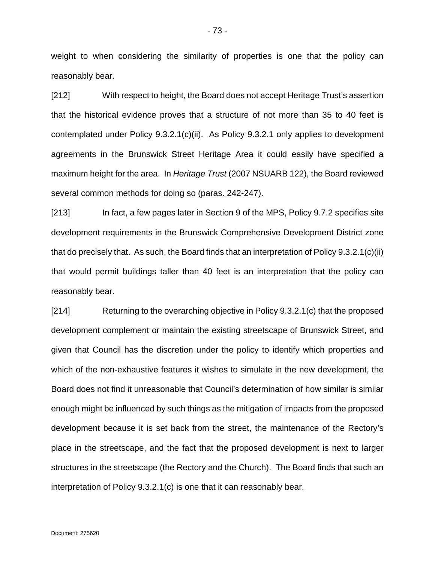weight to when considering the similarity of properties is one that the policy can reasonably bear.

[212] With respect to height, the Board does not accept Heritage Trust's assertion that the historical evidence proves that a structure of not more than 35 to 40 feet is contemplated under Policy 9.3.2.1(c)(ii). As Policy 9.3.2.1 only applies to development agreements in the Brunswick Street Heritage Area it could easily have specified a maximum height for the area. In *Heritage Trust* (2007 NSUARB 122), the Board reviewed several common methods for doing so (paras. 242-247).

[213] In fact, a few pages later in Section 9 of the MPS, Policy 9.7.2 specifies site development requirements in the Brunswick Comprehensive Development District zone that do precisely that. As such, the Board finds that an interpretation of Policy 9.3.2.1(c)(ii) that would permit buildings taller than 40 feet is an interpretation that the policy can reasonably bear.

[214] Returning to the overarching objective in Policy 9.3.2.1(c) that the proposed development complement or maintain the existing streetscape of Brunswick Street, and given that Council has the discretion under the policy to identify which properties and which of the non-exhaustive features it wishes to simulate in the new development, the Board does not find it unreasonable that Council's determination of how similar is similar enough might be influenced by such things as the mitigation of impacts from the proposed development because it is set back from the street, the maintenance of the Rectory's place in the streetscape, and the fact that the proposed development is next to larger structures in the streetscape (the Rectory and the Church). The Board finds that such an interpretation of Policy 9.3.2.1(c) is one that it can reasonably bear.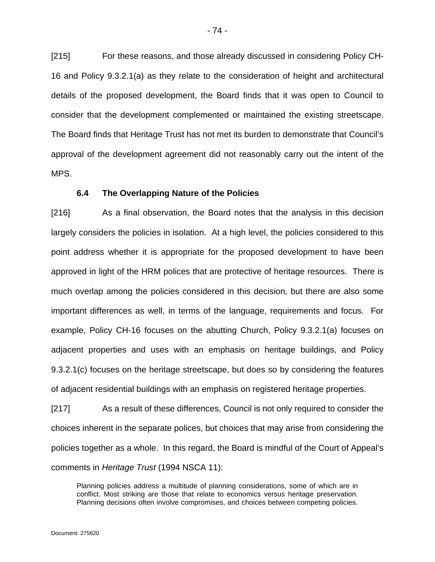[215] For these reasons, and those already discussed in considering Policy CH-16 and Policy 9.3.2.1(a) as they relate to the consideration of height and architectural details of the proposed development, the Board finds that it was open to Council to consider that the development complemented or maintained the existing streetscape. The Board finds that Heritage Trust has not met its burden to demonstrate that Council's approval of the development agreement did not reasonably carry out the intent of the MPS.

## **6.4 The Overlapping Nature of the Policies**

[216] As a final observation, the Board notes that the analysis in this decision largely considers the policies in isolation. At a high level, the policies considered to this point address whether it is appropriate for the proposed development to have been approved in light of the HRM polices that are protective of heritage resources. There is much overlap among the policies considered in this decision, but there are also some important differences as well, in terms of the language, requirements and focus. For example, Policy CH-16 focuses on the abutting Church, Policy 9.3.2.1(a) focuses on adjacent properties and uses with an emphasis on heritage buildings, and Policy 9.3.2.1(c) focuses on the heritage streetscape, but does so by considering the features of adjacent residential buildings with an emphasis on registered heritage properties.

[217] As a result of these differences, Council is not only required to consider the choices inherent in the separate polices, but choices that may arise from considering the policies together as a whole. In this regard, the Board is mindful of the Court of Appeal's comments in *Heritage Trust* (1994 NSCA 11):

Planning policies address a multitude of planning considerations, some of which are in conflict. Most striking are those that relate to economics versus heritage preservation. Planning decisions often involve compromises, and choices between competing policies.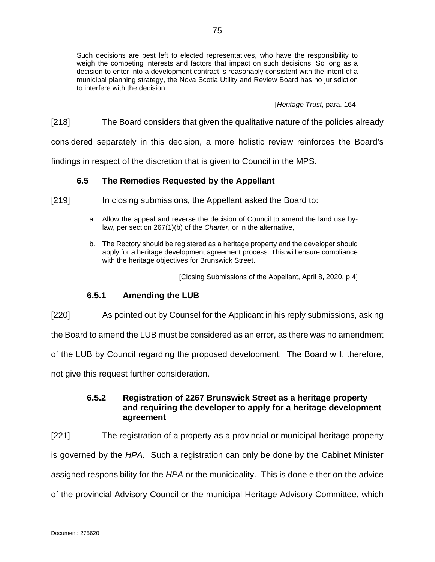Such decisions are best left to elected representatives, who have the responsibility to weigh the competing interests and factors that impact on such decisions. So long as a decision to enter into a development contract is reasonably consistent with the intent of a municipal planning strategy, the Nova Scotia Utility and Review Board has no jurisdiction to interfere with the decision.

[*Heritage Trust*, para. 164]

[218] The Board considers that given the qualitative nature of the policies already

considered separately in this decision, a more holistic review reinforces the Board's

findings in respect of the discretion that is given to Council in the MPS.

## **6.5 The Remedies Requested by the Appellant**

- [219] In closing submissions, the Appellant asked the Board to:
	- a. Allow the appeal and reverse the decision of Council to amend the land use bylaw, per section 267(1)(b) of the *Charter*, or in the alternative,
	- b. The Rectory should be registered as a heritage property and the developer should apply for a heritage development agreement process. This will ensure compliance with the heritage objectives for Brunswick Street.

[Closing Submissions of the Appellant, April 8, 2020, p.4]

## **6.5.1 Amending the LUB**

[220] As pointed out by Counsel for the Applicant in his reply submissions, asking

the Board to amend the LUB must be considered as an error, as there was no amendment

of the LUB by Council regarding the proposed development. The Board will, therefore,

not give this request further consideration.

# **6.5.2 Registration of 2267 Brunswick Street as a heritage property and requiring the developer to apply for a heritage development agreement**

[221] The registration of a property as a provincial or municipal heritage property is governed by the *HPA.* Such a registration can only be done by the Cabinet Minister assigned responsibility for the *HPA* or the municipality. This is done either on the advice of the provincial Advisory Council or the municipal Heritage Advisory Committee, which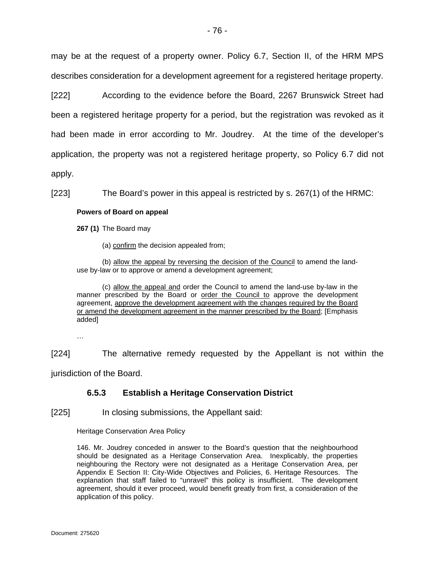may be at the request of a property owner. Policy 6.7, Section II, of the HRM MPS describes consideration for a development agreement for a registered heritage property.

[222] According to the evidence before the Board, 2267 Brunswick Street had been a registered heritage property for a period, but the registration was revoked as it had been made in error according to Mr. Joudrey. At the time of the developer's application, the property was not a registered heritage property, so Policy 6.7 did not apply.

[223] The Board's power in this appeal is restricted by s. 267(1) of the HRMC:

### **Powers of Board on appeal**

**267 (1)** The Board may

(a) confirm the decision appealed from;

(b) allow the appeal by reversing the decision of the Council to amend the landuse by-law or to approve or amend a development agreement;

(c) allow the appeal and order the Council to amend the land-use by-law in the manner prescribed by the Board or order the Council to approve the development agreement, approve the development agreement with the changes required by the Board or amend the development agreement in the manner prescribed by the Board; [Emphasis added]

…

[224] The alternative remedy requested by the Appellant is not within the jurisdiction of the Board.

# **6.5.3 Establish a Heritage Conservation District**

[225] In closing submissions, the Appellant said:

Heritage Conservation Area Policy

146. Mr. Joudrey conceded in answer to the Board's question that the neighbourhood should be designated as a Heritage Conservation Area. Inexplicably, the properties neighbouring the Rectory were not designated as a Heritage Conservation Area, per Appendix E Section II: City-Wide Objectives and Policies, 6. Heritage Resources. The explanation that staff failed to "unravel" this policy is insufficient. The development agreement, should it ever proceed, would benefit greatly from first, a consideration of the application of this policy.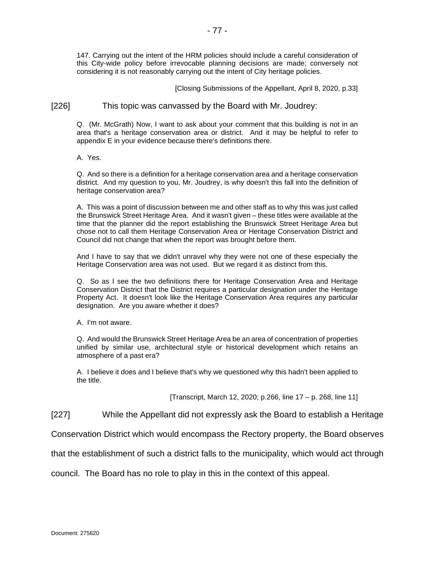147. Carrying out the intent of the HRM policies should include a careful consideration of this City-wide policy before irrevocable planning decisions are made; conversely not considering it is not reasonably carrying out the intent of City heritage policies.

[Closing Submissions of the Appellant, April 8, 2020, p.33]

[226] This topic was canvassed by the Board with Mr. Joudrey:

Q. (Mr. McGrath) Now, I want to ask about your comment that this building is not in an area that's a heritage conservation area or district. And it may be helpful to refer to appendix E in your evidence because there's definitions there.

A. Yes.

Q. And so there is a definition for a heritage conservation area and a heritage conservation district. And my question to you, Mr. Joudrey, is why doesn't this fall into the definition of heritage conservation area?

A. This was a point of discussion between me and other staff as to why this was just called the Brunswick Street Heritage Area. And it wasn't given – these titles were available at the time that the planner did the report establishing the Brunswick Street Heritage Area but chose not to call them Heritage Conservation Area or Heritage Conservation District and Council did not change that when the report was brought before them.

And I have to say that we didn't unravel why they were not one of these especially the Heritage Conservation area was not used. But we regard it as distinct from this.

Q. So as I see the two definitions there for Heritage Conservation Area and Heritage Conservation District that the District requires a particular designation under the Heritage Property Act. It doesn't look like the Heritage Conservation Area requires any particular designation. Are you aware whether it does?

A. I'm not aware.

Q. And would the Brunswick Street Heritage Area be an area of concentration of properties unified by similar use, architectural style or historical development which retains an atmosphere of a past era?

A. I believe it does and I believe that's why we questioned why this hadn't been applied to the title.

[Transcript, March 12, 2020; p.266, line 17 – p. 268, line 11]

[227] While the Appellant did not expressly ask the Board to establish a Heritage

Conservation District which would encompass the Rectory property, the Board observes

that the establishment of such a district falls to the municipality, which would act through

council. The Board has no role to play in this in the context of this appeal.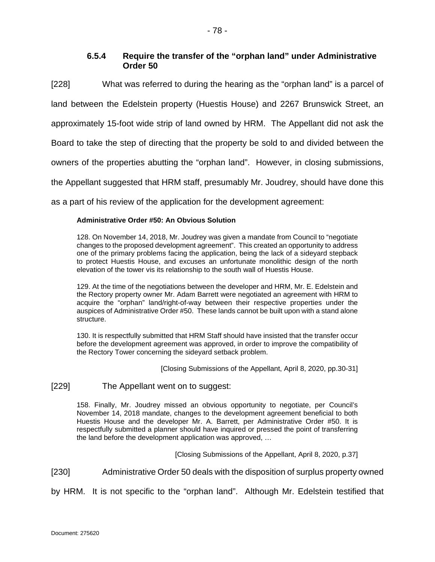# **6.5.4 Require the transfer of the "orphan land" under Administrative Order 50**

[228] What was referred to during the hearing as the "orphan land" is a parcel of land between the Edelstein property (Huestis House) and 2267 Brunswick Street, an

approximately 15-foot wide strip of land owned by HRM. The Appellant did not ask the

Board to take the step of directing that the property be sold to and divided between the

owners of the properties abutting the "orphan land". However, in closing submissions,

the Appellant suggested that HRM staff, presumably Mr. Joudrey, should have done this

as a part of his review of the application for the development agreement:

### **Administrative Order #50: An Obvious Solution**

128. On November 14, 2018, Mr. Joudrey was given a mandate from Council to "negotiate changes to the proposed development agreement". This created an opportunity to address one of the primary problems facing the application, being the lack of a sideyard stepback to protect Huestis House, and excuses an unfortunate monolithic design of the north elevation of the tower vis its relationship to the south wall of Huestis House.

129. At the time of the negotiations between the developer and HRM, Mr. E. Edelstein and the Rectory property owner Mr. Adam Barrett were negotiated an agreement with HRM to acquire the "orphan" land/right-of-way between their respective properties under the auspices of Administrative Order #50. These lands cannot be built upon with a stand alone structure.

130. It is respectfully submitted that HRM Staff should have insisted that the transfer occur before the development agreement was approved, in order to improve the compatibility of the Rectory Tower concerning the sideyard setback problem.

[Closing Submissions of the Appellant, April 8, 2020, pp.30-31]

### [229] The Appellant went on to suggest:

158. Finally, Mr. Joudrey missed an obvious opportunity to negotiate, per Council's November 14, 2018 mandate, changes to the development agreement beneficial to both Huestis House and the developer Mr. A. Barrett, per Administrative Order #50. It is respectfully submitted a planner should have inquired or pressed the point of transferring the land before the development application was approved, …

[Closing Submissions of the Appellant, April 8, 2020, p.37]

[230] Administrative Order 50 deals with the disposition of surplus property owned

by HRM. It is not specific to the "orphan land". Although Mr. Edelstein testified that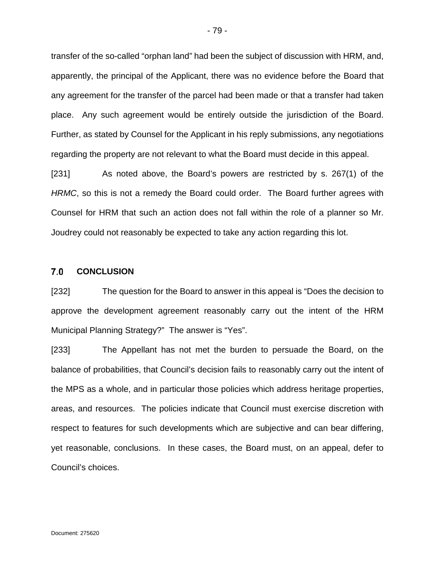transfer of the so-called "orphan land" had been the subject of discussion with HRM, and, apparently, the principal of the Applicant, there was no evidence before the Board that any agreement for the transfer of the parcel had been made or that a transfer had taken place. Any such agreement would be entirely outside the jurisdiction of the Board. Further, as stated by Counsel for the Applicant in his reply submissions, any negotiations regarding the property are not relevant to what the Board must decide in this appeal.

[231] As noted above, the Board's powers are restricted by s. 267(1) of the *HRMC*, so this is not a remedy the Board could order. The Board further agrees with Counsel for HRM that such an action does not fall within the role of a planner so Mr. Joudrey could not reasonably be expected to take any action regarding this lot.

#### $7.0$ **CONCLUSION**

[232] The question for the Board to answer in this appeal is "Does the decision to approve the development agreement reasonably carry out the intent of the HRM Municipal Planning Strategy?" The answer is "Yes".

[233] The Appellant has not met the burden to persuade the Board, on the balance of probabilities, that Council's decision fails to reasonably carry out the intent of the MPS as a whole, and in particular those policies which address heritage properties, areas, and resources. The policies indicate that Council must exercise discretion with respect to features for such developments which are subjective and can bear differing, yet reasonable, conclusions. In these cases, the Board must, on an appeal, defer to Council's choices.